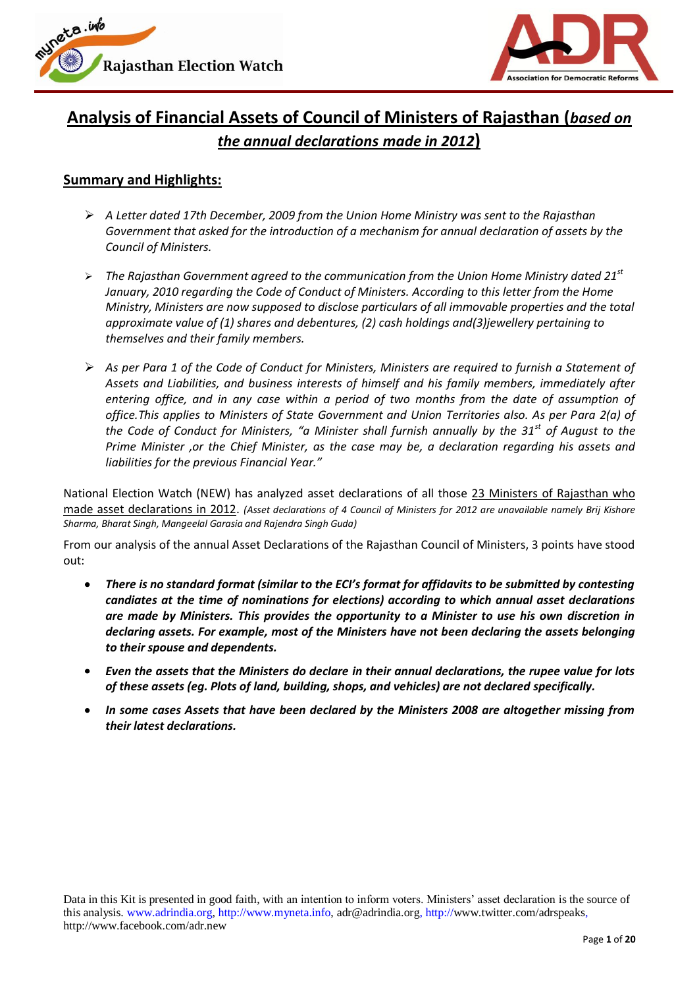



# **Analysis of Financial Assets of Council of Ministers of Rajasthan (***based on the annual declarations made in 2012***)**

### **Summary and Highlights:**

- *A Letter dated 17th December, 2009 from the Union Home Ministry was sent to the Rajasthan Government that asked for the introduction of a mechanism for annual declaration of assets by the Council of Ministers.*
- *The Rajasthan Government agreed to the communication from the Union Home Ministry dated 21st January, 2010 regarding the Code of Conduct of Ministers. According to this letter from the Home Ministry, Ministers are now supposed to disclose particulars of all immovable properties and the total approximate value of (1) shares and debentures, (2) cash holdings and(3)jewellery pertaining to themselves and their family members.*
- *As per Para 1 of the Code of Conduct for Ministers, Ministers are required to furnish a Statement of Assets and Liabilities, and business interests of himself and his family members, immediately after entering office, and in any case within a period of two months from the date of assumption of office.This applies to Ministers of State Government and Union Territories also. As per Para 2(a) of the Code of Conduct for Ministers, "a Minister shall furnish annually by the 31st of August to the Prime Minister ,or the Chief Minister, as the case may be, a declaration regarding his assets and liabilities for the previous Financial Year."*

National Election Watch (NEW) has analyzed asset declarations of all those 23 Ministers of Rajasthan who made asset declarations in 2012. *(Asset declarations of 4 Council of Ministers for 2012 are unavailable namely Brij Kishore Sharma, Bharat Singh, Mangeelal Garasia and Rajendra Singh Guda)*

From our analysis of the annual Asset Declarations of the Rajasthan Council of Ministers, 3 points have stood out:

- *There is no standard format (similar to the ECI's format for affidavits to be submitted by contesting candiates at the time of nominations for elections) according to which annual asset declarations are made by Ministers. This provides the opportunity to a Minister to use his own discretion in declaring assets. For example, most of the Ministers have not been declaring the assets belonging to their spouse and dependents.*
- *Even the assets that the Ministers do declare in their annual declarations, the rupee value for lots of these assets (eg. Plots of land, building, shops, and vehicles) are not declared specifically.*
- *In some cases Assets that have been declared by the Ministers 2008 are altogether missing from their latest declarations.*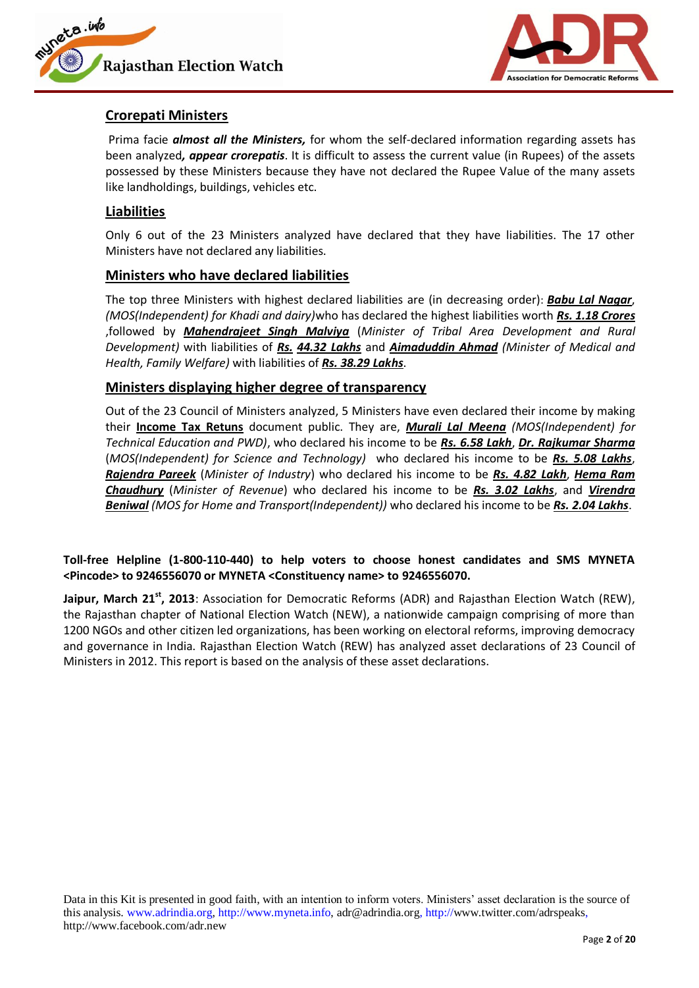



### **Crorepati Ministers**

Prima facie *almost all the Ministers,* for whom the self-declared information regarding assets has been analyzed*, appear crorepatis*. It is difficult to assess the current value (in Rupees) of the assets possessed by these Ministers because they have not declared the Rupee Value of the many assets like landholdings, buildings, vehicles etc.

### **Liabilities**

Only 6 out of the 23 Ministers analyzed have declared that they have liabilities. The 17 other Ministers have not declared any liabilities.

### **Ministers who have declared liabilities**

The top three Ministers with highest declared liabilities are (in decreasing order): *Babu Lal Nagar*, *(MOS(Independent) for Khadi and dairy)*who has declared the highest liabilities worth *Rs. 1.18 Crores* ,followed by *Mahendrajeet Singh Malviya* (*Minister of Tribal Area Development and Rural Development)* with liabilities of *Rs. 44.32 Lakhs* and *Aimaduddin Ahmad (Minister of Medical and Health, Family Welfare)* with liabilities of *Rs. 38.29 Lakhs*.

### **Ministers displaying higher degree of transparency**

Out of the 23 Council of Ministers analyzed, 5 Ministers have even declared their income by making their **Income Tax Retuns** document public. They are, *Murali Lal Meena (MOS(Independent) for Technical Education and PWD)*, who declared his income to be *Rs. 6.58 Lakh*, *Dr. Rajkumar Sharma* (*MOS(Independent) for Science and Technology)* who declared his income to be *Rs. 5.08 Lakhs*, *Rajendra Pareek* (*Minister of Industry*) who declared his income to be *Rs. 4.82 Lakh*, *Hema Ram Chaudhury* (*Minister of Revenue*) who declared his income to be *Rs. 3.02 Lakhs*, and *Virendra Beniwal (MOS for Home and Transport(Independent))* who declared his income to be *Rs. 2.04 Lakhs*.

#### **Toll-free Helpline (1-800-110-440) to help voters to choose honest candidates and SMS MYNETA <Pincode> to 9246556070 or MYNETA <Constituency name> to 9246556070.**

**Jaipur, March 21st, 2013**: Association for Democratic Reforms (ADR) and Rajasthan Election Watch (REW), the Rajasthan chapter of National Election Watch (NEW), a nationwide campaign comprising of more than 1200 NGOs and other citizen led organizations, has been working on electoral reforms, improving democracy and governance in India. Rajasthan Election Watch (REW) has analyzed asset declarations of 23 Council of Ministers in 2012. This report is based on the analysis of these asset declarations.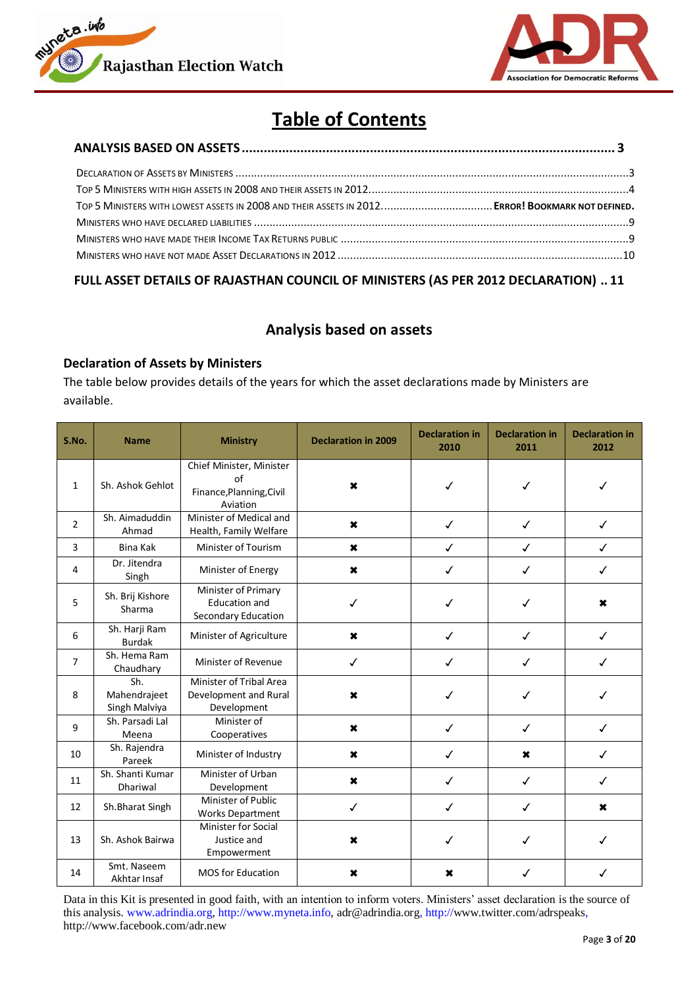



# **Table of Contents**

### <span id="page-2-0"></span>**[FULL ASSET DETAILS OF RAJASTHAN COUNCIL OF MINISTERS \(AS PER](#page-10-0) 2012 DECLARATION) .. 11**

### **Analysis based on assets**

#### <span id="page-2-1"></span>**Declaration of Assets by Ministers**

The table below provides details of the years for which the asset declarations made by Ministers are available.

| S.No.          | <b>Name</b>                          | <b>Ministry</b>                                                        | <b>Declaration in 2009</b> | <b>Declaration in</b><br>2010 | <b>Declaration in</b><br>2011 | <b>Declaration in</b><br>2012 |
|----------------|--------------------------------------|------------------------------------------------------------------------|----------------------------|-------------------------------|-------------------------------|-------------------------------|
| $\mathbf{1}$   | Sh. Ashok Gehlot                     | Chief Minister, Minister<br>of<br>Finance, Planning, Civil<br>Aviation | ×                          | ✓                             |                               |                               |
| $\overline{2}$ | Sh. Aimaduddin<br>Ahmad              | Minister of Medical and<br>Health, Family Welfare                      | $\boldsymbol{\ast}$        | $\checkmark$                  | $\checkmark$                  | ✓                             |
| 3              | <b>Bina Kak</b>                      | Minister of Tourism                                                    | ×                          | $\checkmark$                  | $\checkmark$                  | $\checkmark$                  |
| 4              | Dr. Jitendra<br>Singh                | Minister of Energy                                                     | ×                          | $\checkmark$                  | $\checkmark$                  | $\checkmark$                  |
| 5              | Sh. Brij Kishore<br>Sharma           | Minister of Primary<br><b>Education and</b><br>Secondary Education     |                            | ✓                             |                               | ×                             |
| 6              | Sh. Harji Ram<br><b>Burdak</b>       | Minister of Agriculture                                                | $\boldsymbol{\mathsf{x}}$  | $\checkmark$                  | $\checkmark$                  | $\checkmark$                  |
| $\overline{7}$ | Sh. Hema Ram<br>Chaudhary            | Minister of Revenue                                                    | $\checkmark$               | $\checkmark$                  | ✓                             | ✓                             |
| 8              | Sh.<br>Mahendrajeet<br>Singh Malviya | Minister of Tribal Area<br>Development and Rural<br>Development        | $\boldsymbol{\mathsf{x}}$  | ✓                             | ✓                             | ✓                             |
| 9              | Sh. Parsadi Lal<br>Meena             | Minister of<br>Cooperatives                                            | $\boldsymbol{\mathsf{x}}$  | ✓                             | ✓                             | ✓                             |
| 10             | Sh. Rajendra<br>Pareek               | Minister of Industry                                                   | $\boldsymbol{\ast}$        | $\checkmark$                  | $\boldsymbol{\mathsf{x}}$     | ✓                             |
| 11             | Sh. Shanti Kumar<br><b>Dhariwal</b>  | Minister of Urban<br>Development                                       | $\mathbf x$                | $\checkmark$                  | $\checkmark$                  | $\checkmark$                  |
| 12             | Sh. Bharat Singh                     | Minister of Public<br><b>Works Department</b>                          | $\checkmark$               | $\checkmark$                  | $\checkmark$                  | $\boldsymbol{\mathsf{x}}$     |
| 13             | Sh. Ashok Bairwa                     | <b>Minister for Social</b><br>Justice and<br>Empowerment               | ×                          | ✓                             | ✓                             | $\checkmark$                  |
| 14             | Smt. Naseem<br>Akhtar Insaf          | <b>MOS for Education</b>                                               | $\boldsymbol{\mathsf{x}}$  | ×                             | ✓                             | ✓                             |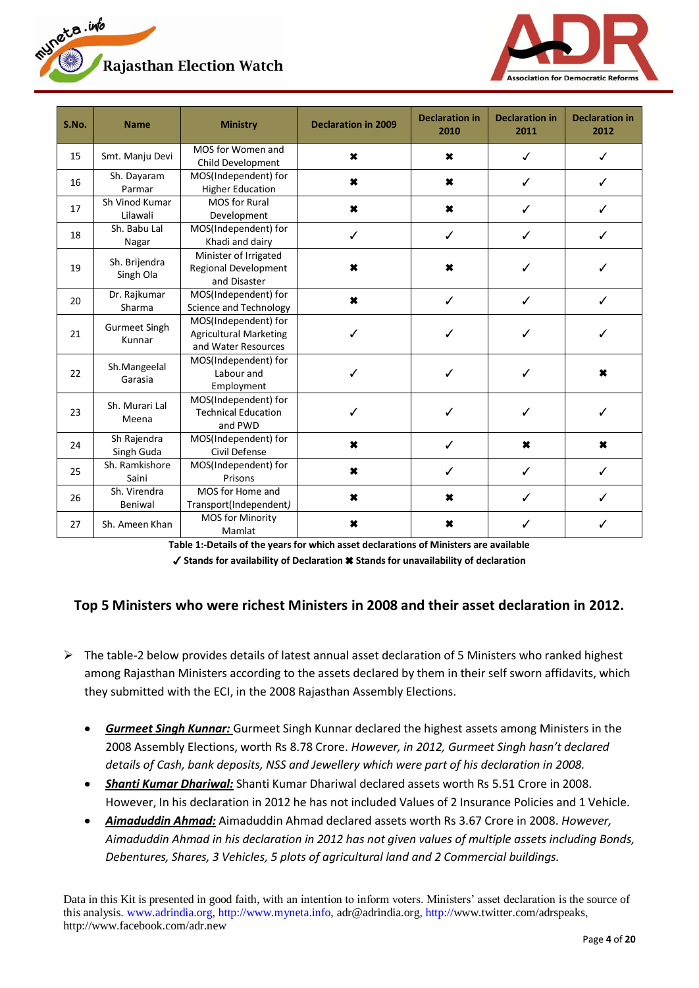



| S.No. | <b>Name</b>                    | <b>Ministry</b>                                                              | <b>Declaration in 2009</b> | <b>Declaration in</b><br>2010 | <b>Declaration in</b><br>2011 | <b>Declaration in</b><br>2012 |
|-------|--------------------------------|------------------------------------------------------------------------------|----------------------------|-------------------------------|-------------------------------|-------------------------------|
| 15    | Smt. Manju Devi                | MOS for Women and<br>Child Development                                       | $\pmb{\times}$             | ×                             |                               |                               |
| 16    | Sh. Dayaram<br>Parmar          | MOS(Independent) for<br><b>Higher Education</b>                              | ×                          | ×                             | ✓                             |                               |
| 17    | Sh Vinod Kumar<br>Lilawali     | <b>MOS</b> for Rural<br>Development                                          | ×                          | ×                             | ✓                             | ℐ                             |
| 18    | Sh. Babu Lal<br>Nagar          | MOS(Independent) for<br>Khadi and dairy                                      | ✓                          | ✓                             | ✓                             | ✓                             |
| 19    | Sh. Brijendra<br>Singh Ola     | Minister of Irrigated<br>Regional Development<br>and Disaster                | $\pmb{\times}$             | $\pmb{\times}$                | J                             | ℐ                             |
| 20    | Dr. Rajkumar<br>Sharma         | MOS(Independent) for<br>Science and Technology                               | $\pmb{x}$                  | ✓                             | ✓                             | ✓                             |
| 21    | <b>Gurmeet Singh</b><br>Kunnar | MOS(Independent) for<br><b>Agricultural Marketing</b><br>and Water Resources | ✓                          | ✓                             | ✓                             | ✓                             |
| 22    | Sh.Mangeelal<br>Garasia        | MOS(Independent) for<br>Labour and<br>Employment                             | ✓                          | ✓                             | ✓                             | ×                             |
| 23    | Sh. Murari Lal<br>Meena        | MOS(Independent) for<br><b>Technical Education</b><br>and PWD                |                            |                               |                               |                               |
| 24    | Sh Rajendra<br>Singh Guda      | MOS(Independent) for<br>Civil Defense                                        | $\pmb{x}$                  | ✓                             | $\boldsymbol{\mathsf{x}}$     | $\boldsymbol{\mathsf{x}}$     |
| 25    | Sh. Ramkishore<br>Saini        | MOS(Independent) for<br>Prisons                                              | $\boldsymbol{\ast}$        | ✓                             |                               |                               |
| 26    | Sh. Virendra<br>Beniwal        | MOS for Home and<br>Transport(Independent)                                   | $\boldsymbol{\ast}$        | ×                             | ✓                             | ✓                             |
| 27    | Sh. Ameen Khan                 | <b>MOS for Minority</b><br>Mamlat                                            | ×                          | ×                             |                               |                               |

**Table 1:-Details of the years for which asset declarations of Ministers are available**

✓ **Stands for availability of Declaration** ✖ **Stands for unavailability of declaration**

# <span id="page-3-0"></span>**Top 5 Ministers who were richest Ministers in 2008 and their asset declaration in 2012.**

- $\triangleright$  The table-2 below provides details of latest annual asset declaration of 5 Ministers who ranked highest among Rajasthan Ministers according to the assets declared by them in their self sworn affidavits, which they submitted with the ECI, in the 2008 Rajasthan Assembly Elections.
	- *Gurmeet Singh Kunnar:* Gurmeet Singh Kunnar declared the highest assets among Ministers in the 2008 Assembly Elections, worth Rs 8.78 Crore. *However, in 2012, Gurmeet Singh hasn't declared details of Cash, bank deposits, NSS and Jewellery which were part of his declaration in 2008.*
	- *Shanti Kumar Dhariwal:* Shanti Kumar Dhariwal declared assets worth Rs 5.51 Crore in 2008. However, In his declaration in 2012 he has not included Values of 2 Insurance Policies and 1 Vehicle.
	- *Aimaduddin Ahmad:* Aimaduddin Ahmad declared assets worth Rs 3.67 Crore in 2008. *However, Aimaduddin Ahmad in his declaration in 2012 has not given values of multiple assets including Bonds, Debentures, Shares, 3 Vehicles, 5 plots of agricultural land and 2 Commercial buildings.*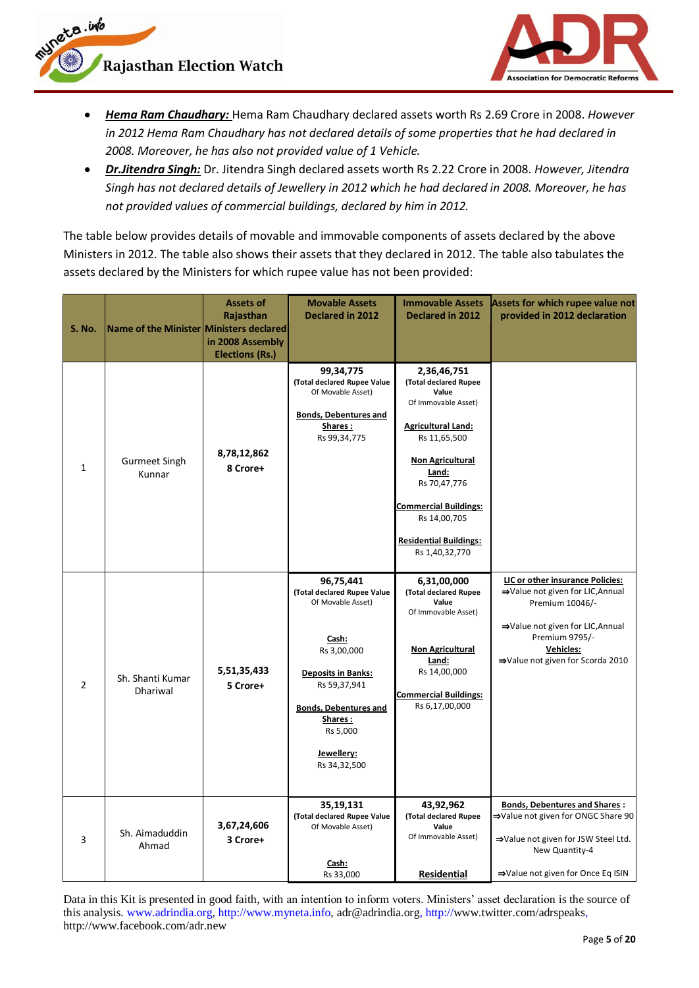

uneta.info



- *Hema Ram Chaudhary:* Hema Ram Chaudhary declared assets worth Rs 2.69 Crore in 2008. *However in 2012 Hema Ram Chaudhary has not declared details of some properties that he had declared in 2008. Moreover, he has also not provided value of 1 Vehicle.*
- *Dr.Jitendra Singh:* Dr. Jitendra Singh declared assets worth Rs 2.22 Crore in 2008. *However, Jitendra*   $\bullet$ *Singh has not declared details of Jewellery in 2012 which he had declared in 2008. Moreover, he has not provided values of commercial buildings, declared by him in 2012.*

The table below provides details of movable and immovable components of assets declared by the above Ministers in 2012. The table also shows their assets that they declared in 2012. The table also tabulates the assets declared by the Ministers for which rupee value has not been provided:

| <b>S. No.</b> | Name of the Minister Ministers declared | <b>Assets of</b><br>Rajasthan<br>in 2008 Assembly<br><b>Elections (Rs.)</b> | <b>Movable Assets</b><br>Declared in 2012                                                                                                                                                                               | <b>Immovable Assets</b><br><b>Declared in 2012</b>                                                                                                                                                                                                                       | Assets for which rupee value not<br>provided in 2012 declaration                                                                                                                                      |
|---------------|-----------------------------------------|-----------------------------------------------------------------------------|-------------------------------------------------------------------------------------------------------------------------------------------------------------------------------------------------------------------------|--------------------------------------------------------------------------------------------------------------------------------------------------------------------------------------------------------------------------------------------------------------------------|-------------------------------------------------------------------------------------------------------------------------------------------------------------------------------------------------------|
| $\mathbf{1}$  | Gurmeet Singh<br>Kunnar                 | 8,78,12,862<br>8 Crore+                                                     | 99,34,775<br>(Total declared Rupee Value<br>Of Movable Asset)<br><b>Bonds, Debentures and</b><br>Shares:<br>Rs 99,34,775                                                                                                | 2,36,46,751<br>(Total declared Rupee<br>Value<br>Of Immovable Asset)<br><b>Agricultural Land:</b><br>Rs 11,65,500<br><b>Non Agricultural</b><br>Land:<br>Rs 70,47,776<br><b>Commercial Buildings:</b><br>Rs 14,00,705<br><b>Residential Buildings:</b><br>Rs 1,40,32,770 |                                                                                                                                                                                                       |
| 2             | Sh. Shanti Kumar<br><b>Dhariwal</b>     | 5,51,35,433<br>5 Crore+                                                     | 96,75,441<br>(Total declared Rupee Value<br>Of Movable Asset)<br>Cash:<br>Rs 3,00,000<br><b>Deposits in Banks:</b><br>Rs 59,37,941<br><b>Bonds, Debentures and</b><br>Shares:<br>Rs 5,000<br>Jewellery:<br>Rs 34,32,500 | 6,31,00,000<br>(Total declared Rupee<br>Value<br>Of Immovable Asset)<br><b>Non Agricultural</b><br>Land:<br>Rs 14,00,000<br><b>Commercial Buildings:</b><br>Rs 6,17,00,000                                                                                               | LIC or other insurance Policies:<br>⇒Value not given for LIC, Annual<br>Premium 10046/-<br>⇒Value not given for LIC, Annual<br>Premium 9795/-<br><b>Vehicles:</b><br>⇒Value not given for Scorda 2010 |
| 3             | Sh. Aimaduddin<br>Ahmad                 | 3,67,24,606<br>3 Crore+                                                     | 35,19,131<br>(Total declared Rupee Value<br>Of Movable Asset)<br>Cash:<br>Rs 33,000                                                                                                                                     | 43,92,962<br>(Total declared Rupee<br>Value<br>Of Immovable Asset)<br>Residential                                                                                                                                                                                        | <b>Bonds, Debentures and Shares:</b><br>⇒Value not given for ONGC Share 90<br>⇒Value not given for JSW Steel Ltd.<br>New Quantity-4<br>⇒Value not given for Once Eq ISIN                              |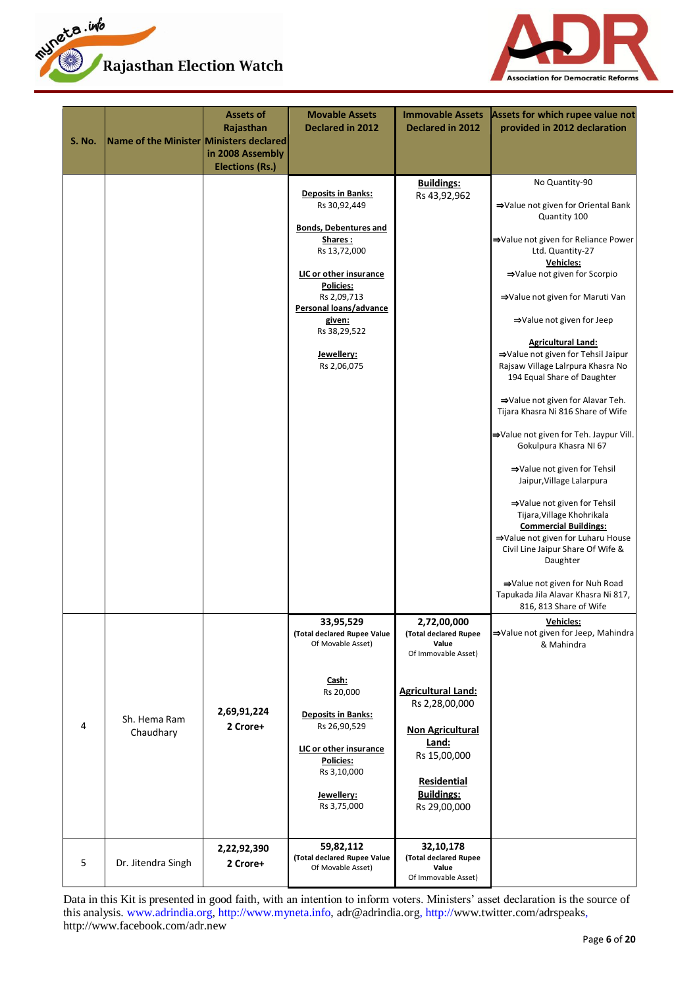



| S. No. | Name of the Minister Ministers declared | <b>Assets of</b><br>Rajasthan<br>in 2008 Assembly<br><b>Elections (Rs.)</b> | <b>Movable Assets</b><br><b>Declared in 2012</b>                                                                                                                                                                                            | <b>Immovable Assets</b><br><b>Declared in 2012</b>                                                                                                                                                                                 | Assets for which rupee value not<br>provided in 2012 declaration                                                                                                                                                                                                                                                                                                                                                                                                                                                                                                                                                                                                                                                                                                                                                                                                                   |
|--------|-----------------------------------------|-----------------------------------------------------------------------------|---------------------------------------------------------------------------------------------------------------------------------------------------------------------------------------------------------------------------------------------|------------------------------------------------------------------------------------------------------------------------------------------------------------------------------------------------------------------------------------|------------------------------------------------------------------------------------------------------------------------------------------------------------------------------------------------------------------------------------------------------------------------------------------------------------------------------------------------------------------------------------------------------------------------------------------------------------------------------------------------------------------------------------------------------------------------------------------------------------------------------------------------------------------------------------------------------------------------------------------------------------------------------------------------------------------------------------------------------------------------------------|
|        |                                         |                                                                             | <b>Deposits in Banks:</b><br>Rs 30,92,449<br><b>Bonds, Debentures and</b><br>Shares:<br>Rs 13,72,000<br>LIC or other insurance<br>Policies:<br>Rs 2,09,713<br>Personal loans/advance<br>given:<br>Rs 38,29,522<br>Jewellery:<br>Rs 2,06,075 | <b>Buildings:</b><br>Rs 43,92,962                                                                                                                                                                                                  | No Quantity-90<br>⇒Value not given for Oriental Bank<br>Quantity 100<br>⇒Value not given for Reliance Power<br>Ltd. Quantity-27<br>Vehicles:<br>⇒Value not given for Scorpio<br>⇒Value not given for Maruti Van<br>⇒Value not given for Jeep<br><b>Agricultural Land:</b><br>⇒Value not given for Tehsil Jaipur<br>Rajsaw Village Lalrpura Khasra No<br>194 Equal Share of Daughter<br>⇒Value not given for Alavar Teh.<br>Tijara Khasra Ni 816 Share of Wife<br>⇒Value not given for Teh. Jaypur Vill.<br>Gokulpura Khasra NI 67<br>⇒Value not given for Tehsil<br>Jaipur, Village Lalarpura<br>⇒Value not given for Tehsil<br>Tijara, Village Khohrikala<br><b>Commercial Buildings:</b><br>⇒Value not given for Luharu House<br>Civil Line Jaipur Share Of Wife &<br>Daughter<br>⇒Value not given for Nuh Road<br>Tapukada Jila Alavar Khasra Ni 817,<br>816, 813 Share of Wife |
| 4      | Sh. Hema Ram<br>Chaudhary               | 2,69,91,224<br>2 Crore+                                                     | 33,95,529<br>(Total declared Rupee Value<br>Of Movable Asset)<br>Cash:<br>Rs 20,000<br><b>Deposits in Banks:</b><br>Rs 26,90,529<br>LIC or other insurance<br>Policies:<br>Rs 3,10,000<br>Jewellery:<br>Rs 3,75,000                         | 2,72,00,000<br>(Total declared Rupee<br>Value<br>Of Immovable Asset)<br><b>Agricultural Land:</b><br>Rs 2,28,00,000<br><b>Non Agricultural</b><br>Land:<br>Rs 15,00,000<br><b>Residential</b><br><b>Buildings:</b><br>Rs 29,00,000 | <b>Vehicles:</b><br>⇒Value not given for Jeep, Mahindra<br>& Mahindra                                                                                                                                                                                                                                                                                                                                                                                                                                                                                                                                                                                                                                                                                                                                                                                                              |
| 5      | Dr. Jitendra Singh                      | 2,22,92,390<br>2 Crore+                                                     | 59,82,112<br>(Total declared Rupee Value<br>Of Movable Asset)                                                                                                                                                                               | 32,10,178<br>(Total declared Rupee<br>Value<br>Of Immovable Asset)                                                                                                                                                                 |                                                                                                                                                                                                                                                                                                                                                                                                                                                                                                                                                                                                                                                                                                                                                                                                                                                                                    |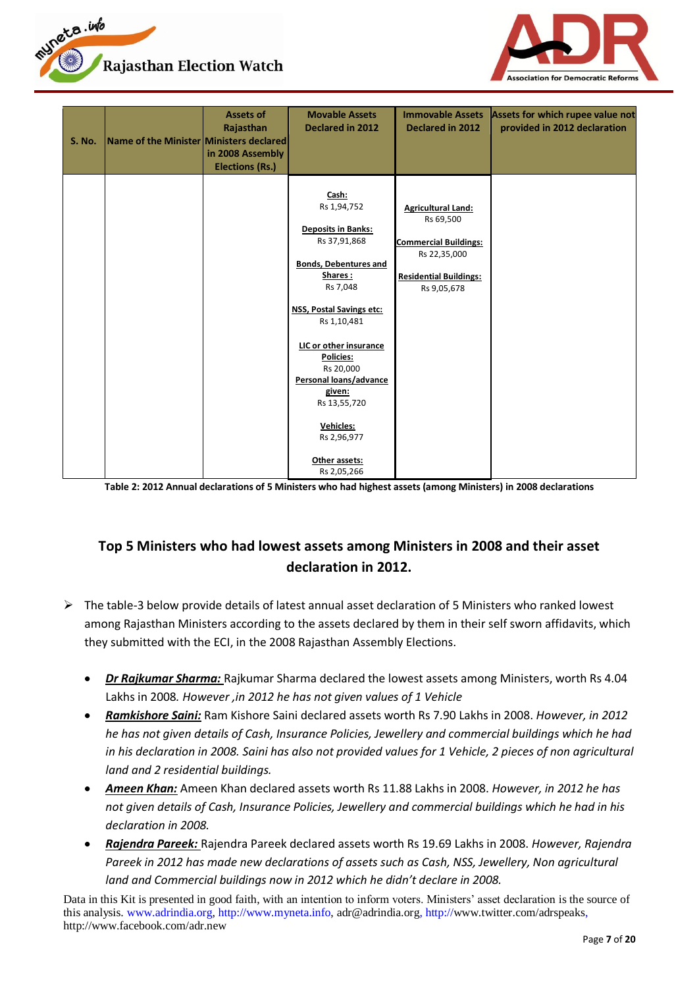



| <b>S. No.</b> | Name of the Minister Ministers declared | <b>Assets of</b><br>Rajasthan<br>in 2008 Assembly<br><b>Elections (Rs.)</b> | <b>Movable Assets</b><br><b>Declared in 2012</b>                                                                                                                                                                                                                                                                                               | <b>Immovable Assets</b><br><b>Declared in 2012</b>                                                                                     | Assets for which rupee value not<br>provided in 2012 declaration |
|---------------|-----------------------------------------|-----------------------------------------------------------------------------|------------------------------------------------------------------------------------------------------------------------------------------------------------------------------------------------------------------------------------------------------------------------------------------------------------------------------------------------|----------------------------------------------------------------------------------------------------------------------------------------|------------------------------------------------------------------|
|               |                                         |                                                                             | Cash:<br>Rs 1,94,752<br><b>Deposits in Banks:</b><br>Rs 37,91,868<br><b>Bonds, Debentures and</b><br>Shares:<br>Rs 7,048<br>NSS, Postal Savings etc:<br>Rs 1,10,481<br>LIC or other insurance<br><b>Policies:</b><br>Rs 20,000<br>Personal loans/advance<br>given:<br>Rs 13,55,720<br>Vehicles:<br>Rs 2,96,977<br>Other assets:<br>Rs 2,05,266 | <b>Agricultural Land:</b><br>Rs 69,500<br><b>Commercial Buildings:</b><br>Rs 22,35,000<br><b>Residential Buildings:</b><br>Rs 9,05,678 |                                                                  |

**Table 2: 2012 Annual declarations of 5 Ministers who had highest assets (among Ministers) in 2008 declarations**

# **Top 5 Ministers who had lowest assets among Ministers in 2008 and their asset declaration in 2012.**

- $\triangleright$  The table-3 below provide details of latest annual asset declaration of 5 Ministers who ranked lowest among Rajasthan Ministers according to the assets declared by them in their self sworn affidavits, which they submitted with the ECI, in the 2008 Rajasthan Assembly Elections.
	- *Dr Rajkumar Sharma:* Rajkumar Sharma declared the lowest assets among Ministers, worth Rs 4.04 Lakhs in 2008*. However ,in 2012 he has not given values of 1 Vehicle*
	- *Ramkishore Saini:* Ram Kishore Saini declared assets worth Rs 7.90 Lakhs in 2008. *However, in 2012 he has not given details of Cash, Insurance Policies, Jewellery and commercial buildings which he had in his declaration in 2008. Saini has also not provided values for 1 Vehicle, 2 pieces of non agricultural land and 2 residential buildings.*
	- *Ameen Khan:* Ameen Khan declared assets worth Rs 11.88 Lakhs in 2008. *However, in 2012 he has not given details of Cash, Insurance Policies, Jewellery and commercial buildings which he had in his declaration in 2008.*
	- *Rajendra Pareek:* Rajendra Pareek declared assets worth Rs 19.69 Lakhs in 2008. *However, Rajendra*  Pareek in 2012 has made new declarations of assets such as Cash, NSS, Jewellery, Non agricultural *land and Commercial buildings now in 2012 which he didn't declare in 2008.*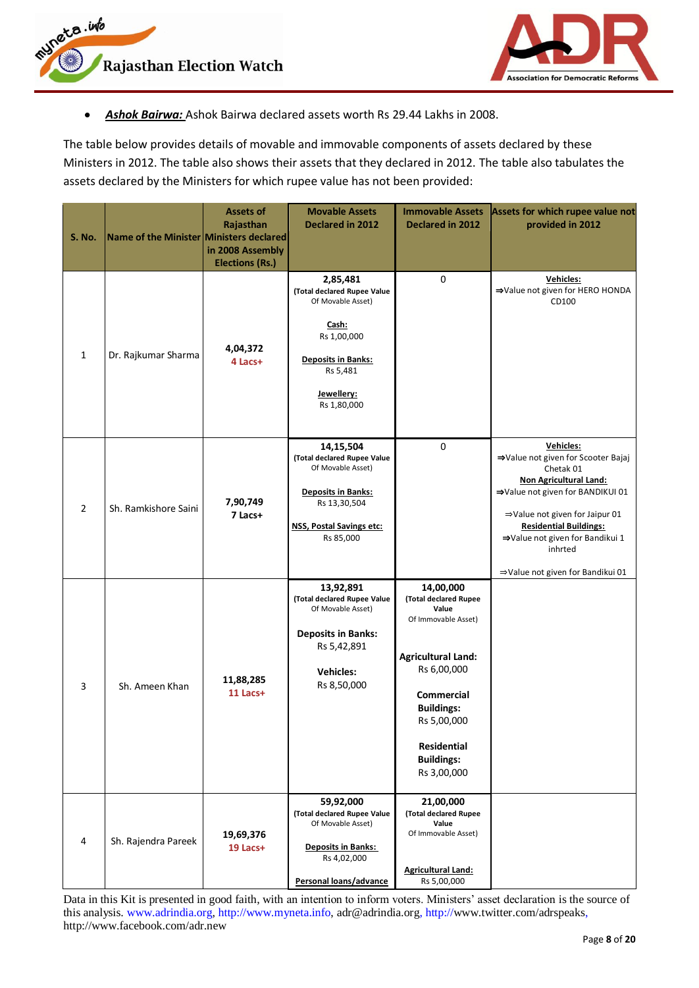



*Ashok Bairwa:* Ashok Bairwa declared assets worth Rs 29.44 Lakhs in 2008.  $\bullet$ 

The table below provides details of movable and immovable components of assets declared by these Ministers in 2012. The table also shows their assets that they declared in 2012. The table also tabulates the assets declared by the Ministers for which rupee value has not been provided:

| <b>S. No.</b>  | Name of the Minister Ministers declared | <b>Assets of</b><br>Rajasthan<br>in 2008 Assembly<br><b>Elections (Rs.)</b> | <b>Movable Assets</b><br><b>Declared in 2012</b>                                                                                                                  | <b>Immovable Assets</b><br><b>Declared in 2012</b>                                                                                                                                                                         | Assets for which rupee value not<br>provided in 2012                                                                                                                                                                                                                                                |
|----------------|-----------------------------------------|-----------------------------------------------------------------------------|-------------------------------------------------------------------------------------------------------------------------------------------------------------------|----------------------------------------------------------------------------------------------------------------------------------------------------------------------------------------------------------------------------|-----------------------------------------------------------------------------------------------------------------------------------------------------------------------------------------------------------------------------------------------------------------------------------------------------|
| $\mathbf{1}$   | Dr. Rajkumar Sharma                     | 4,04,372<br>4 Lacs+                                                         | 2,85,481<br>(Total declared Rupee Value<br>Of Movable Asset)<br>Cash:<br>Rs 1,00,000<br><b>Deposits in Banks:</b><br>Rs 5,481<br><u>Jewellery:</u><br>Rs 1,80,000 | 0                                                                                                                                                                                                                          | Vehicles:<br>⇒Value not given for HERO HONDA<br>CD100                                                                                                                                                                                                                                               |
| $\overline{2}$ | Sh. Ramkishore Saini                    | 7,90,749<br>7 Lacs+                                                         | 14,15,504<br>(Total declared Rupee Value<br>Of Movable Asset)<br><b>Deposits in Banks:</b><br>Rs 13,30,504<br><b>NSS, Postal Savings etc:</b><br>Rs 85,000        | $\pmb{0}$                                                                                                                                                                                                                  | Vehicles:<br>⇒Value not given for Scooter Bajaj<br>Chetak 01<br><b>Non Agricultural Land:</b><br>→Value not given for BANDIKUI 01<br>$\Rightarrow$ Value not given for Jaipur 01<br><b>Residential Buildings:</b><br>⇒Value not given for Bandikui 1<br>inhrted<br>⇒Value not given for Bandikui 01 |
| 3              | Sh. Ameen Khan                          | 11,88,285<br>$11$ Lacs+                                                     | 13,92,891<br>(Total declared Rupee Value<br>Of Movable Asset)<br><b>Deposits in Banks:</b><br>Rs 5,42,891<br><b>Vehicles:</b><br>Rs 8,50,000                      | 14,00,000<br>(Total declared Rupee<br>Value<br>Of Immovable Asset)<br><b>Agricultural Land:</b><br>Rs 6,00,000<br>Commercial<br><b>Buildings:</b><br>Rs 5,00,000<br><b>Residential</b><br><b>Buildings:</b><br>Rs 3,00,000 |                                                                                                                                                                                                                                                                                                     |
| 4              | Sh. Rajendra Pareek                     | 19,69,376<br>19 Lacs+                                                       | 59,92,000<br>(Total declared Rupee Value<br>Of Movable Asset)<br><b>Deposits in Banks:</b><br>Rs 4,02,000<br>Personal loans/advance                               | 21,00,000<br>(Total declared Rupee<br>Value<br>Of Immovable Asset)<br><b>Agricultural Land:</b><br>Rs 5,00,000                                                                                                             |                                                                                                                                                                                                                                                                                                     |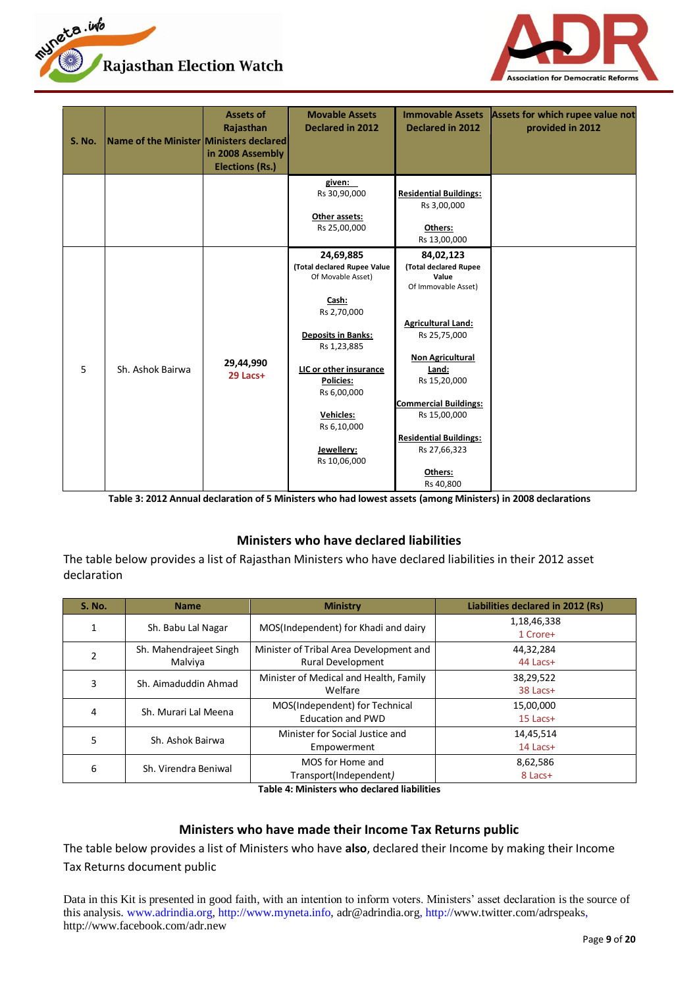



| <b>S. No.</b> | Name of the Minister Ministers declared | <b>Assets of</b><br>Rajasthan<br>in 2008 Assembly<br><b>Elections (Rs.)</b> | <b>Movable Assets</b><br><b>Declared in 2012</b>                                                                                                                                                                                                         | <b>Immovable Assets</b><br><b>Declared in 2012</b>                                                                                                                                                                                                                                           | Assets for which rupee value not<br>provided in 2012 |
|---------------|-----------------------------------------|-----------------------------------------------------------------------------|----------------------------------------------------------------------------------------------------------------------------------------------------------------------------------------------------------------------------------------------------------|----------------------------------------------------------------------------------------------------------------------------------------------------------------------------------------------------------------------------------------------------------------------------------------------|------------------------------------------------------|
|               |                                         |                                                                             | given:<br>Rs 30,90,000<br>Other assets:<br>Rs 25,00,000                                                                                                                                                                                                  | <b>Residential Buildings:</b><br>Rs 3,00,000<br>Others:<br>Rs 13,00,000                                                                                                                                                                                                                      |                                                      |
| 5             | Sh. Ashok Bairwa                        | 29,44,990<br>29 Lacs+                                                       | 24,69,885<br>(Total declared Rupee Value<br>Of Movable Asset)<br>Cash:<br>Rs 2,70,000<br><b>Deposits in Banks:</b><br>Rs 1,23,885<br>LIC or other insurance<br><b>Policies:</b><br>Rs 6,00,000<br>Vehicles:<br>Rs 6,10,000<br>Jewellery:<br>Rs 10,06,000 | 84,02,123<br>(Total declared Rupee<br>Value<br>Of Immovable Asset)<br><b>Agricultural Land:</b><br>Rs 25,75,000<br><b>Non Agricultural</b><br>Land:<br>Rs 15,20,000<br><b>Commercial Buildings:</b><br>Rs 15,00,000<br><b>Residential Buildings:</b><br>Rs 27,66,323<br>Others:<br>Rs 40,800 |                                                      |

**Table 3: 2012 Annual declaration of 5 Ministers who had lowest assets (among Ministers) in 2008 declarations**

#### **Ministers who have declared liabilities**

<span id="page-8-0"></span>The table below provides a list of Rajasthan Ministers who have declared liabilities in their 2012 asset declaration

| <b>S. No.</b> | <b>Name</b>            | <b>Ministry</b>                         | Liabilities declared in 2012 (Rs) |
|---------------|------------------------|-----------------------------------------|-----------------------------------|
|               | Sh. Babu Lal Nagar     | MOS(Independent) for Khadi and dairy    | 1,18,46,338                       |
|               |                        |                                         | 1 Crore+                          |
| $\mathfrak z$ | Sh. Mahendrajeet Singh | Minister of Tribal Area Development and | 44,32,284                         |
|               | Malviya                | <b>Rural Development</b>                | 44 Lacs+                          |
| 3             | Sh. Aimaduddin Ahmad   | Minister of Medical and Health, Family  | 38,29,522                         |
|               |                        | Welfare                                 | 38 Lacs+                          |
| 4             | Sh. Murari Lal Meena   | MOS(Independent) for Technical          | 15,00,000                         |
|               |                        | <b>Education and PWD</b>                | $15$ Lacs+                        |
| 5             | Sh. Ashok Bairwa       | Minister for Social Justice and         | 14,45,514                         |
|               |                        | Empowerment                             | 14 Lacs+                          |
| 6             | Sh. Virendra Beniwal   | MOS for Home and                        | 8,62,586                          |
|               |                        | Transport(Independent)                  | 8 Lacs+                           |

**Table 4: Ministers who declared liabilities**

#### **Ministers who have made their Income Tax Returns public**

<span id="page-8-1"></span>The table below provides a list of Ministers who have **also**, declared their Income by making their Income Tax Returns document public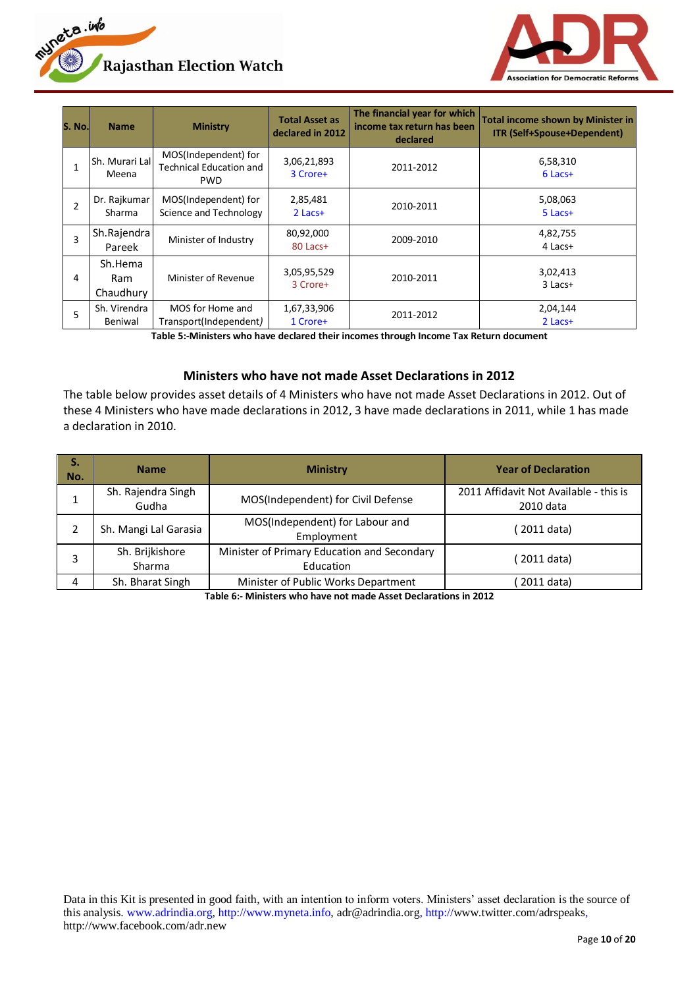



| S. No. | <b>Name</b>                 | <b>Ministry</b>                                                      | <b>Total Asset as</b><br>declared in 2012 | The financial year for which<br>income tax return has been<br>declared | <b>Total income shown by Minister in</b><br><b>ITR (Self+Spouse+Dependent)</b> |
|--------|-----------------------------|----------------------------------------------------------------------|-------------------------------------------|------------------------------------------------------------------------|--------------------------------------------------------------------------------|
|        | Sh. Murari Lal<br>Meena     | MOS(Independent) for<br><b>Technical Education and</b><br><b>PWD</b> | 3,06,21,893<br>3 Crore+                   | 2011-2012                                                              | 6,58,310<br>$6$ Lacs+                                                          |
| 2      | Dr. Rajkumar<br>Sharma      | MOS(Independent) for<br>Science and Technology                       | 2,85,481<br>$2$ Lacs+                     | 2010-2011                                                              | 5,08,063<br>$5$ Lacs+                                                          |
| 3      | Sh.Rajendra<br>Pareek       | Minister of Industry                                                 | 80,92,000<br>80 Lacs+                     | 2009-2010                                                              | 4,82,755<br>4 Lacs+                                                            |
| 4      | Sh.Hema<br>Ram<br>Chaudhury | Minister of Revenue                                                  | 3,05,95,529<br>3 Crore+                   | 2010-2011                                                              | 3,02,413<br>3 Lacs+                                                            |
| 5      | Sh. Virendra<br>Beniwal     | MOS for Home and<br>Transport(Independent)                           | 1,67,33,906<br>1 Crore+                   | 2011-2012                                                              | 2,04,144<br>$2$ Lacs+                                                          |

**Table 5:-Ministers who have declared their incomes through Income Tax Return document**

#### **Ministers who have not made Asset Declarations in 2012**

<span id="page-9-0"></span>The table below provides asset details of 4 Ministers who have not made Asset Declarations in 2012. Out of these 4 Ministers who have made declarations in 2012, 3 have made declarations in 2011, while 1 has made a declaration in 2010.

| S.<br>No. | <b>Name</b>                 | <b>Ministry</b>                                          | <b>Year of Declaration</b>                          |
|-----------|-----------------------------|----------------------------------------------------------|-----------------------------------------------------|
|           | Sh. Rajendra Singh<br>Gudha | MOS(Independent) for Civil Defense                       | 2011 Affidavit Not Available - this is<br>2010 data |
|           | Sh. Mangi Lal Garasia       | MOS(Independent) for Labour and<br>Employment            | 2011 data)                                          |
|           | Sh. Brijkishore<br>Sharma   | Minister of Primary Education and Secondary<br>Education | 2011 data)                                          |
| 4         | Sh. Bharat Singh            | Minister of Public Works Department                      | 2011 data)                                          |

**Table 6:- Ministers who have not made Asset Declarations in 2012**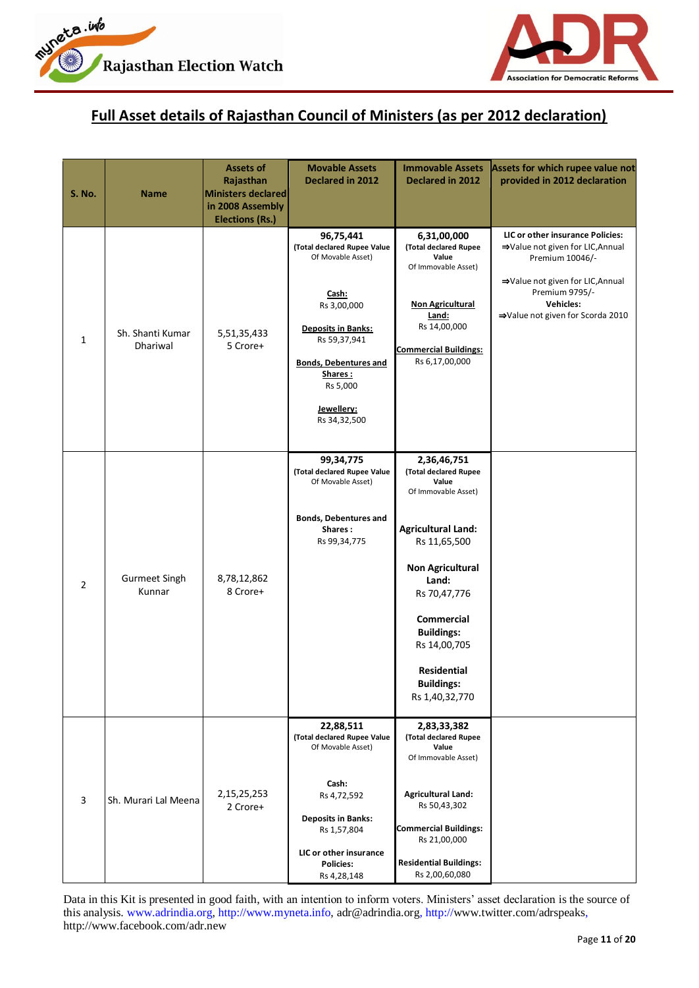



# <span id="page-10-0"></span>**Full Asset details of Rajasthan Council of Ministers (as per 2012 declaration)**

| <b>S. No.</b> | <b>Name</b>                    | <b>Assets of</b><br>Rajasthan<br><b>Ministers declared</b><br>in 2008 Assembly<br><b>Elections (Rs.)</b> | <b>Movable Assets</b><br>Declared in 2012                                                                                                                                                                               | <b>Immovable Assets</b><br><b>Declared in 2012</b>                                                                                                                                                                                                                                    | Assets for which rupee value not<br>provided in 2012 declaration                                                                                                                                      |
|---------------|--------------------------------|----------------------------------------------------------------------------------------------------------|-------------------------------------------------------------------------------------------------------------------------------------------------------------------------------------------------------------------------|---------------------------------------------------------------------------------------------------------------------------------------------------------------------------------------------------------------------------------------------------------------------------------------|-------------------------------------------------------------------------------------------------------------------------------------------------------------------------------------------------------|
| $\mathbf{1}$  | Sh. Shanti Kumar<br>Dhariwal   | 5,51,35,433<br>5 Crore+                                                                                  | 96,75,441<br>(Total declared Rupee Value<br>Of Movable Asset)<br>Cash:<br>Rs 3,00,000<br><b>Deposits in Banks:</b><br>Rs 59,37,941<br><b>Bonds, Debentures and</b><br>Shares:<br>Rs 5,000<br>Jewellery:<br>Rs 34,32,500 | 6,31,00,000<br>(Total declared Rupee<br>Value<br>Of Immovable Asset)<br><b>Non Agricultural</b><br>Land:<br>Rs 14,00,000<br><b>Commercial Buildings:</b><br>Rs 6,17,00,000                                                                                                            | LIC or other insurance Policies:<br>⇒Value not given for LIC, Annual<br>Premium 10046/-<br>⇒Value not given for LIC, Annual<br>Premium 9795/-<br><b>Vehicles:</b><br>⇒Value not given for Scorda 2010 |
| 2             | <b>Gurmeet Singh</b><br>Kunnar | 8,78,12,862<br>8 Crore+                                                                                  | 99,34,775<br>(Total declared Rupee Value<br>Of Movable Asset)<br><b>Bonds, Debentures and</b><br>Shares:<br>Rs 99,34,775                                                                                                | 2,36,46,751<br>(Total declared Rupee<br>Value<br>Of Immovable Asset)<br><b>Agricultural Land:</b><br>Rs 11,65,500<br><b>Non Agricultural</b><br>Land:<br>Rs 70,47,776<br><b>Commercial</b><br><b>Buildings:</b><br>Rs 14,00,705<br>Residential<br><b>Buildings:</b><br>Rs 1,40,32,770 |                                                                                                                                                                                                       |
| 3             | Sh. Murari Lal Meena           | 2, 15, 25, 253<br>2 Crore+                                                                               | 22,88,511<br>(Total declared Rupee Value<br>Of Movable Asset)<br>Cash:<br>Rs 4,72,592<br><b>Deposits in Banks:</b><br>Rs 1,57,804<br>LIC or other insurance<br><b>Policies:</b><br>Rs 4,28,148                          | 2,83,33,382<br>(Total declared Rupee<br>Value<br>Of Immovable Asset)<br><b>Agricultural Land:</b><br>Rs 50,43,302<br><b>Commercial Buildings:</b><br>Rs 21,00,000<br><b>Residential Buildings:</b><br>Rs 2,00,60,080                                                                  |                                                                                                                                                                                                       |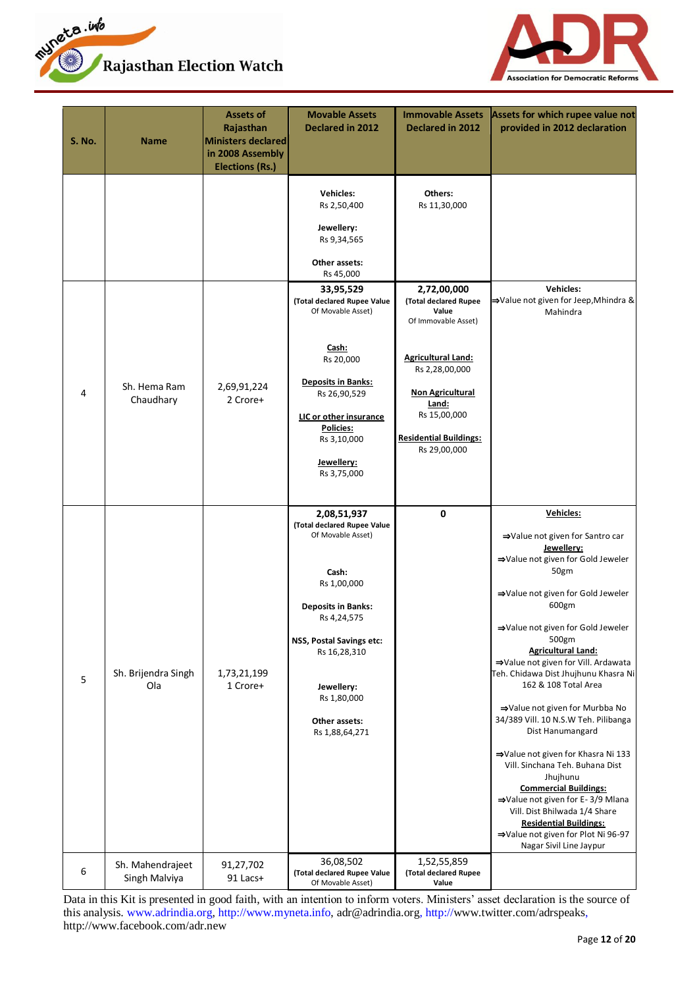



| <b>S. No.</b> | Name                              | <b>Assets of</b><br>Rajasthan<br><b>Ministers declared</b><br>in 2008 Assembly<br><b>Elections (Rs.)</b> | <b>Movable Assets</b><br><b>Declared in 2012</b>                                                                                                                                                                                                                                            | <b>Immovable Assets</b><br><b>Declared in 2012</b>                                                                                                                                                                                                  | Assets for which rupee value not<br>provided in 2012 declaration                                                                                                                                                                                                                                                                                                                                                                                                                                                                                                                                                                                                                                                                  |
|---------------|-----------------------------------|----------------------------------------------------------------------------------------------------------|---------------------------------------------------------------------------------------------------------------------------------------------------------------------------------------------------------------------------------------------------------------------------------------------|-----------------------------------------------------------------------------------------------------------------------------------------------------------------------------------------------------------------------------------------------------|-----------------------------------------------------------------------------------------------------------------------------------------------------------------------------------------------------------------------------------------------------------------------------------------------------------------------------------------------------------------------------------------------------------------------------------------------------------------------------------------------------------------------------------------------------------------------------------------------------------------------------------------------------------------------------------------------------------------------------------|
| 4             | Sh. Hema Ram<br>Chaudhary         | 2,69,91,224<br>2 Crore+                                                                                  | <b>Vehicles:</b><br>Rs 2,50,400<br>Jewellery:<br>Rs 9,34,565<br>Other assets:<br>Rs 45,000<br>33,95,529<br>(Total declared Rupee Value<br>Of Movable Asset)<br>Cash:<br>Rs 20,000<br><b>Deposits in Banks:</b><br>Rs 26,90,529<br>LIC or other insurance<br><b>Policies:</b><br>Rs 3,10,000 | Others:<br>Rs 11,30,000<br>2,72,00,000<br>(Total declared Rupee<br>Value<br>Of Immovable Asset)<br><b>Agricultural Land:</b><br>Rs 2,28,00,000<br><b>Non Agricultural</b><br>Land:<br>Rs 15,00,000<br><b>Residential Buildings:</b><br>Rs 29,00,000 | <b>Vehicles:</b><br>⇒Value not given for Jeep, Mhindra &<br>Mahindra                                                                                                                                                                                                                                                                                                                                                                                                                                                                                                                                                                                                                                                              |
|               |                                   |                                                                                                          | Jewellery:<br>Rs 3,75,000                                                                                                                                                                                                                                                                   |                                                                                                                                                                                                                                                     |                                                                                                                                                                                                                                                                                                                                                                                                                                                                                                                                                                                                                                                                                                                                   |
| 5             | Sh. Brijendra Singh<br>Ola        | 1,73,21,199<br>1 Crore+                                                                                  | 2,08,51,937<br>(Total declared Rupee Value<br>Of Movable Asset)<br>Cash:<br>Rs 1,00,000<br><b>Deposits in Banks:</b><br>Rs 4,24,575<br><b>NSS, Postal Savings etc:</b><br>Rs 16,28,310<br>Jewellery:<br>Rs 1,80,000<br>Other assets:<br>Rs 1,88,64,271                                      | 0                                                                                                                                                                                                                                                   | Vehicles:<br>⇒Value not given for Santro car<br>Jewellery:<br>⇒Value not given for Gold Jeweler<br>50gm<br>⇒Value not given for Gold Jeweler<br>600gm<br>⇒Value not given for Gold Jeweler<br>500gm<br><b>Agricultural Land:</b><br>⇒Value not given for Vill. Ardawata<br>Teh. Chidawa Dist Jhujhunu Khasra Ni<br>162 & 108 Total Area<br>⇒Value not given for Murbba No<br>34/389 Vill. 10 N.S.W Teh. Pilibanga<br>Dist Hanumangard<br>⇒Value not given for Khasra Ni 133<br>Vill. Sinchana Teh. Buhana Dist<br>Jhujhunu<br><b>Commercial Buildings:</b><br>⇒Value not given for E-3/9 Mlana<br>Vill. Dist Bhilwada 1/4 Share<br><b>Residential Buildings:</b><br>⇒Value not given for Plot Ni 96-97<br>Nagar Sivil Line Jaypur |
| 6             | Sh. Mahendrajeet<br>Singh Malviya | 91,27,702<br>91 Lacs+                                                                                    | 36,08,502<br>(Total declared Rupee Value<br>Of Movable Asset)                                                                                                                                                                                                                               | 1,52,55,859<br>(Total declared Rupee<br>Value                                                                                                                                                                                                       |                                                                                                                                                                                                                                                                                                                                                                                                                                                                                                                                                                                                                                                                                                                                   |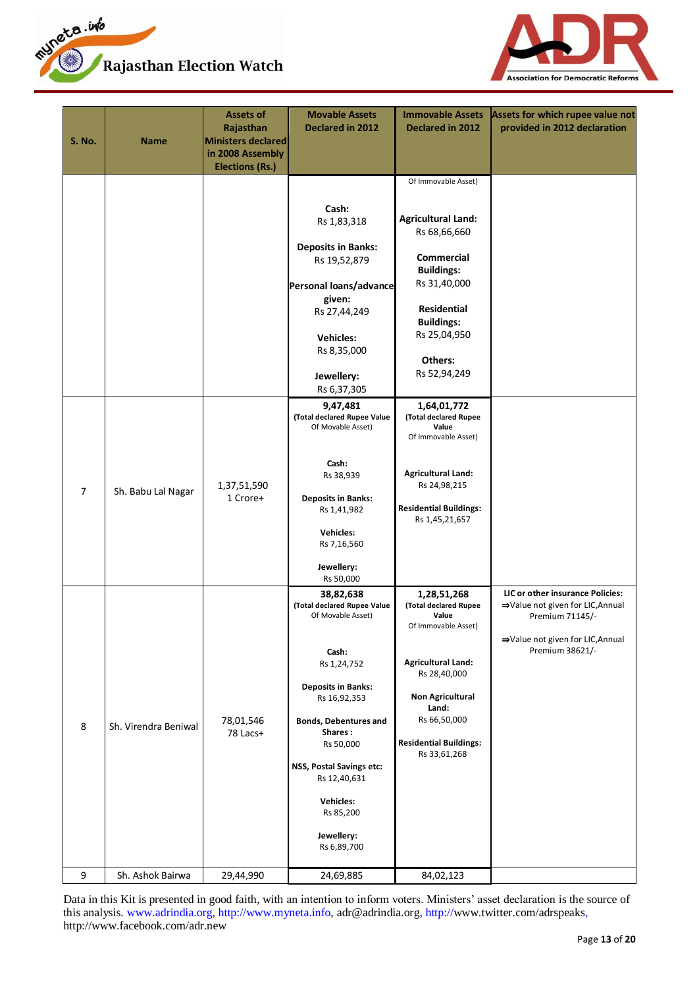



| <b>S. No.</b>  | <b>Name</b>          | <b>Assets of</b><br>Rajasthan<br><b>Ministers declared</b><br>in 2008 Assembly<br><b>Elections (Rs.)</b> | <b>Movable Assets</b><br>Declared in 2012                                                                                                                                                                                                                                                     | <b>Immovable Assets</b><br>Declared in 2012                                                                                                                                                                            | Assets for which rupee value not<br>provided in 2012 declaration                                                                               |
|----------------|----------------------|----------------------------------------------------------------------------------------------------------|-----------------------------------------------------------------------------------------------------------------------------------------------------------------------------------------------------------------------------------------------------------------------------------------------|------------------------------------------------------------------------------------------------------------------------------------------------------------------------------------------------------------------------|------------------------------------------------------------------------------------------------------------------------------------------------|
|                |                      |                                                                                                          | Cash:<br>Rs 1,83,318<br><b>Deposits in Banks:</b><br>Rs 19,52,879<br>Personal loans/advance<br>given:<br>Rs 27,44,249<br><b>Vehicles:</b><br>Rs 8,35,000<br>Jewellery:<br>Rs 6,37,305                                                                                                         | Of Immovable Asset)<br><b>Agricultural Land:</b><br>Rs 68,66,660<br><b>Commercial</b><br><b>Buildings:</b><br>Rs 31,40,000<br>Residential<br><b>Buildings:</b><br>Rs 25,04,950<br>Others:<br>Rs 52,94,249              |                                                                                                                                                |
| $\overline{7}$ | Sh. Babu Lal Nagar   | 1,37,51,590<br>1 Crore+                                                                                  | 9,47,481<br>(Total declared Rupee Value<br>Of Movable Asset)<br>Cash:<br>Rs 38,939<br><b>Deposits in Banks:</b><br>Rs 1,41,982<br>Vehicles:<br>Rs 7,16,560<br>Jewellery:<br>Rs 50,000                                                                                                         | 1,64,01,772<br>(Total declared Rupee<br>Value<br>Of Immovable Asset)<br><b>Agricultural Land:</b><br>Rs 24,98,215<br><b>Residential Buildings:</b><br>Rs 1,45,21,657                                                   |                                                                                                                                                |
| 8              | Sh. Virendra Beniwal | 78,01,546<br>78 Lacs+                                                                                    | 38,82,638<br>(Total declared Rupee Value<br>Of Movable Asset)<br>Cash:<br>Rs 1,24,752<br><b>Deposits in Banks:</b><br>Rs 16,92,353<br><b>Bonds, Debentures and</b><br>Shares:<br>Rs 50,000<br>NSS, Postal Savings etc:<br>Rs 12,40,631<br>Vehicles:<br>Rs 85,200<br>Jewellery:<br>Rs 6,89,700 | 1,28,51,268<br>(Total declared Rupee<br>Value<br>Of Immovable Asset)<br><b>Agricultural Land:</b><br>Rs 28,40,000<br><b>Non Agricultural</b><br>Land:<br>Rs 66,50,000<br><b>Residential Buildings:</b><br>Rs 33,61,268 | LIC or other insurance Policies:<br>⇒Value not given for LIC, Annual<br>Premium 71145/-<br>⇒Value not given for LIC, Annual<br>Premium 38621/- |
| 9              | Sh. Ashok Bairwa     | 29,44,990                                                                                                | 24,69,885                                                                                                                                                                                                                                                                                     | 84,02,123                                                                                                                                                                                                              |                                                                                                                                                |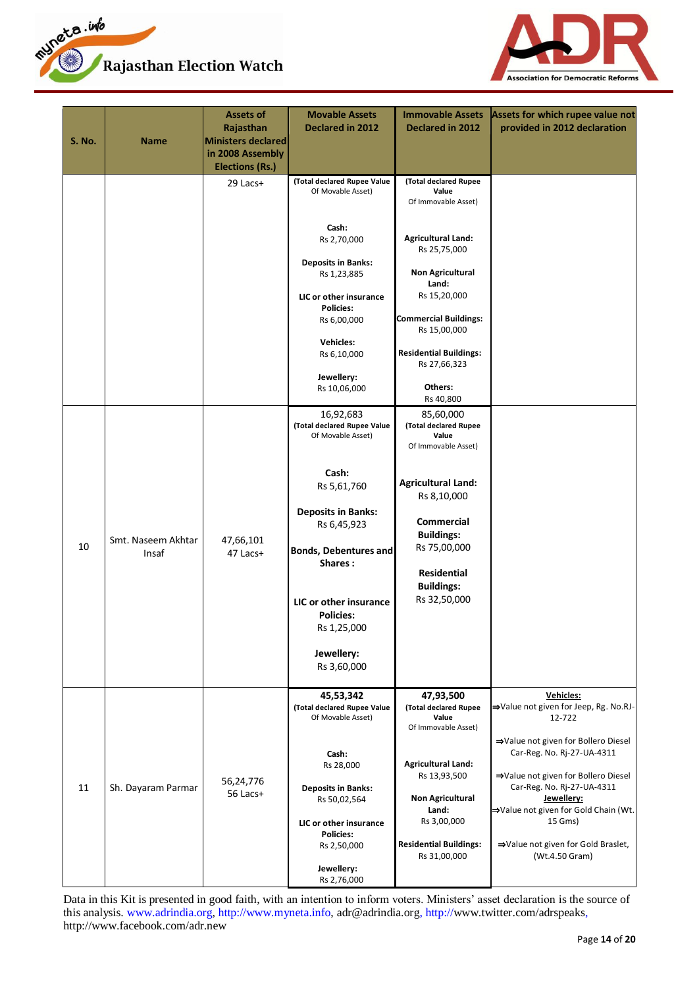



| <b>S. No.</b> | <b>Name</b>                 | Assets of<br>Rajasthan<br>Ministers declared<br>in 2008 Assembly<br><b>Elections (Rs.)</b> | <b>Movable Assets</b><br>Declared in 2012                                                                                    | <b>Immovable Assets</b><br>Declared in 2012                                                                                   | Assets for which rupee value not<br>provided in 2012 declaration                                                                                                                                                                              |
|---------------|-----------------------------|--------------------------------------------------------------------------------------------|------------------------------------------------------------------------------------------------------------------------------|-------------------------------------------------------------------------------------------------------------------------------|-----------------------------------------------------------------------------------------------------------------------------------------------------------------------------------------------------------------------------------------------|
|               |                             | 29 Lacs+                                                                                   | (Total declared Rupee Value<br>Of Movable Asset)<br>Cash:<br>Rs 2,70,000                                                     | (Total declared Rupee<br>Value<br>Of Immovable Asset)<br><b>Agricultural Land:</b><br>Rs 25,75,000                            |                                                                                                                                                                                                                                               |
|               |                             |                                                                                            | <b>Deposits in Banks:</b><br>Rs 1,23,885<br>LIC or other insurance<br><b>Policies:</b><br>Rs 6,00,000                        | <b>Non Agricultural</b><br>Land:<br>Rs 15,20,000<br><b>Commercial Buildings:</b>                                              |                                                                                                                                                                                                                                               |
|               |                             |                                                                                            | <b>Vehicles:</b><br>Rs 6,10,000<br>Jewellery:<br>Rs 10,06,000                                                                | Rs 15,00,000<br><b>Residential Buildings:</b><br>Rs 27,66,323<br>Others:<br>Rs 40,800                                         |                                                                                                                                                                                                                                               |
|               |                             |                                                                                            | 16,92,683<br>(Total declared Rupee Value<br>Of Movable Asset)                                                                | 85,60,000<br>(Total declared Rupee<br>Value<br>Of Immovable Asset)                                                            |                                                                                                                                                                                                                                               |
| 10            | Smt. Naseem Akhtar<br>Insaf | 47,66,101<br>47 Lacs+                                                                      | Cash:<br>Rs 5,61,760<br><b>Deposits in Banks:</b><br>Rs 6,45,923<br><b>Bonds, Debentures and</b><br>Shares:                  | <b>Agricultural Land:</b><br>Rs 8,10,000<br><b>Commercial</b><br><b>Buildings:</b><br>Rs 75,00,000<br>Residential             |                                                                                                                                                                                                                                               |
|               |                             |                                                                                            | LIC or other insurance<br><b>Policies:</b><br>Rs 1,25,000<br>Jewellery:<br>Rs 3,60,000                                       | <b>Buildings:</b><br>Rs 32,50,000                                                                                             |                                                                                                                                                                                                                                               |
|               |                             |                                                                                            | 45,53,342<br>(Total declared Rupee Value<br>Of Movable Asset)                                                                | 47,93,500<br>(Total declared Rupee<br>Value<br>Of Immovable Asset)                                                            | Vehicles:<br>→Value not given for Jeep, Rg. No.RJ-<br>12-722                                                                                                                                                                                  |
| 11            | Sh. Dayaram Parmar          | 56,24,776<br>56 Lacs+                                                                      | Cash:<br>Rs 28,000<br><b>Deposits in Banks:</b><br>Rs 50,02,564<br>LIC or other insurance<br><b>Policies:</b><br>Rs 2,50,000 | <b>Agricultural Land:</b><br>Rs 13,93,500<br><b>Non Agricultural</b><br>Land:<br>Rs 3,00,000<br><b>Residential Buildings:</b> | ⇒Value not given for Bollero Diesel<br>Car-Reg. No. Rj-27-UA-4311<br>⇒Value not given for Bollero Diesel<br>Car-Reg. No. Rj-27-UA-4311<br>Jewellery:<br>→Value not given for Gold Chain (Wt.<br>15 Gms)<br>⇒Value not given for Gold Braslet, |
|               |                             |                                                                                            | Jewellery:<br>Rs 2,76,000                                                                                                    | Rs 31,00,000                                                                                                                  | (Wt.4.50 Gram)                                                                                                                                                                                                                                |

Data in this Kit is presented in good faith, with an intention to inform voters. Ministers' asset declaration is the source of this analysis. www.adrindia.org, http://www.myneta.info, adr@adrindia.org, http://www.twitter.com/adrspeaks, http://www.facebook.com/adr.new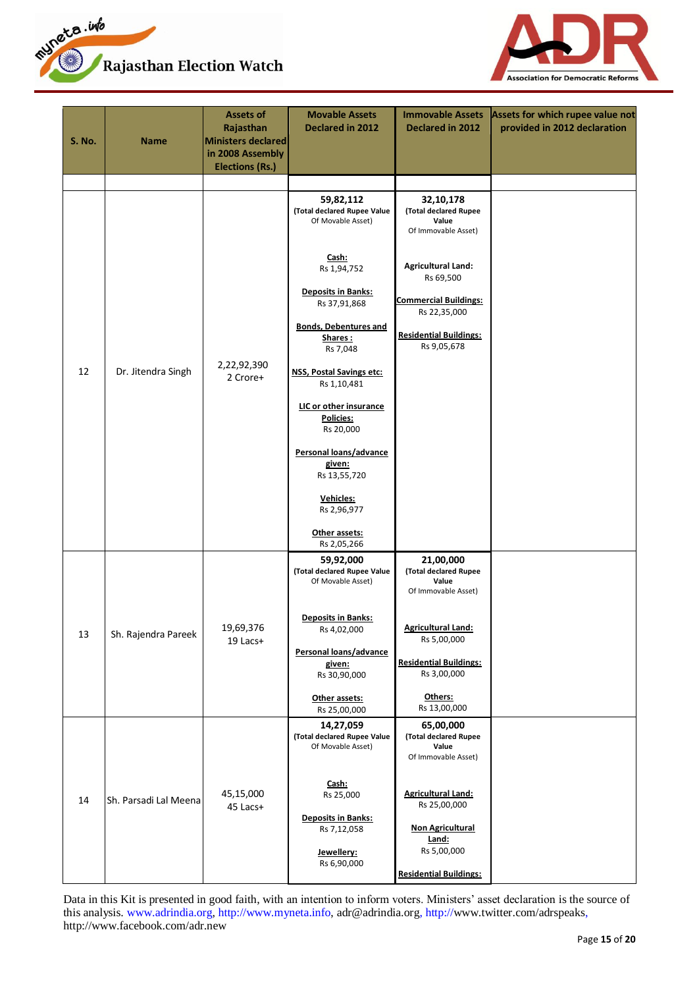



| <b>S. No.</b> | <b>Name</b>           | Assets of<br>Rajasthan<br>Ministers declared<br>in 2008 Assembly<br><b>Elections (Rs.)</b> | <b>Movable Assets</b><br>Declared in 2012                     | <b>Immovable Assets</b><br>Declared in 2012                        | Assets for which rupee value not<br>provided in 2012 declaration |
|---------------|-----------------------|--------------------------------------------------------------------------------------------|---------------------------------------------------------------|--------------------------------------------------------------------|------------------------------------------------------------------|
|               |                       |                                                                                            |                                                               |                                                                    |                                                                  |
|               |                       |                                                                                            | 59,82,112<br>(Total declared Rupee Value<br>Of Movable Asset) | 32,10,178<br>(Total declared Rupee<br>Value<br>Of Immovable Asset) |                                                                  |
|               |                       |                                                                                            | Cash:<br>Rs 1,94,752                                          | <b>Agricultural Land:</b><br>Rs 69,500                             |                                                                  |
|               |                       |                                                                                            | <b>Deposits in Banks:</b><br>Rs 37,91,868                     | <b>Commercial Buildings:</b><br>Rs 22,35,000                       |                                                                  |
|               |                       |                                                                                            | <b>Bonds, Debentures and</b><br>Shares:<br>Rs 7,048           | <b>Residential Buildings:</b><br>Rs 9,05,678                       |                                                                  |
| 12            | Dr. Jitendra Singh    | 2,22,92,390<br>2 Crore+                                                                    | <b>NSS, Postal Savings etc:</b><br>Rs 1,10,481                |                                                                    |                                                                  |
|               |                       |                                                                                            | LIC or other insurance<br>Policies:<br>Rs 20,000              |                                                                    |                                                                  |
|               |                       |                                                                                            | Personal loans/advance<br>given:<br>Rs 13,55,720              |                                                                    |                                                                  |
|               |                       |                                                                                            | Vehicles:<br>Rs 2,96,977                                      |                                                                    |                                                                  |
|               |                       |                                                                                            | Other assets:<br>Rs 2,05,266                                  |                                                                    |                                                                  |
|               |                       |                                                                                            | 59,92,000<br>(Total declared Rupee Value<br>Of Movable Asset) | 21,00,000<br>(Total declared Rupee<br>Value<br>Of Immovable Asset) |                                                                  |
| 13            | Sh. Rajendra Pareek   | 19,69,376<br>19 Lacs+                                                                      | <b>Deposits in Banks:</b><br>Rs 4,02,000                      | <b>Agricultural Land:</b><br>Rs 5,00,000                           |                                                                  |
|               |                       |                                                                                            | Personal loans/advance<br>given:<br>Rs 30,90,000              | <b>Residential Buildings:</b><br>Rs 3,00,000                       |                                                                  |
|               |                       |                                                                                            | Other assets:<br>Rs 25,00,000                                 | Others:<br>Rs 13,00,000                                            |                                                                  |
|               |                       |                                                                                            | 14,27,059<br>(Total declared Rupee Value<br>Of Movable Asset) | 65,00,000<br>(Total declared Rupee<br>Value<br>Of Immovable Asset) |                                                                  |
| 14            | Sh. Parsadi Lal Meena | 45,15,000<br>45 Lacs+                                                                      | Cash:<br>Rs 25,000                                            | <b>Agricultural Land:</b><br>Rs 25,00,000                          |                                                                  |
|               |                       |                                                                                            | <b>Deposits in Banks:</b><br>Rs 7,12,058<br>Jewellery:        | <b>Non Agricultural</b><br>Land:<br>Rs 5,00,000                    |                                                                  |
|               |                       |                                                                                            | Rs 6,90,000                                                   | <b>Residential Buildings:</b>                                      |                                                                  |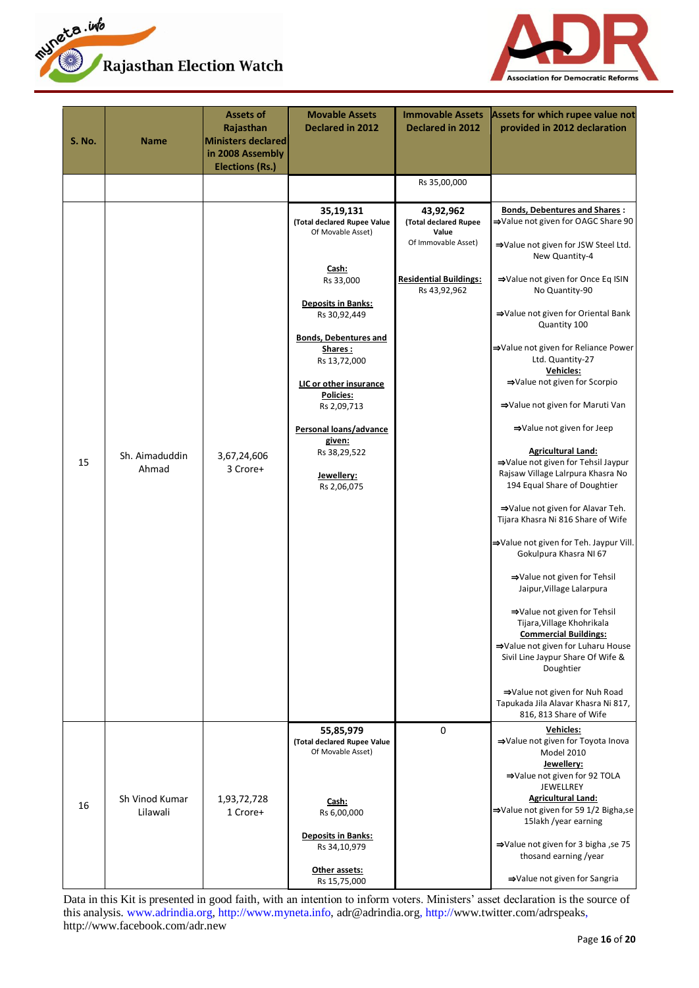



| <b>S. No.</b> | <b>Name</b>                | <b>Assets of</b><br>Rajasthan<br><b>Ministers declared</b><br>in 2008 Assembly<br><b>Elections (Rs.)</b> | <b>Movable Assets</b><br><b>Declared in 2012</b>                                                                                                                                                                                                                                                                                                 | <b>Immovable Assets</b><br><b>Declared in 2012</b>                                                                  | Assets for which rupee value not<br>provided in 2012 declaration                                                                                                                                                                                                                                                                                                                                                                                                                                                                                                                                                                                                                                                                                                                                                                                                                                                                                                                                                                                                 |
|---------------|----------------------------|----------------------------------------------------------------------------------------------------------|--------------------------------------------------------------------------------------------------------------------------------------------------------------------------------------------------------------------------------------------------------------------------------------------------------------------------------------------------|---------------------------------------------------------------------------------------------------------------------|------------------------------------------------------------------------------------------------------------------------------------------------------------------------------------------------------------------------------------------------------------------------------------------------------------------------------------------------------------------------------------------------------------------------------------------------------------------------------------------------------------------------------------------------------------------------------------------------------------------------------------------------------------------------------------------------------------------------------------------------------------------------------------------------------------------------------------------------------------------------------------------------------------------------------------------------------------------------------------------------------------------------------------------------------------------|
|               |                            |                                                                                                          |                                                                                                                                                                                                                                                                                                                                                  | Rs 35,00,000                                                                                                        |                                                                                                                                                                                                                                                                                                                                                                                                                                                                                                                                                                                                                                                                                                                                                                                                                                                                                                                                                                                                                                                                  |
| 15            | Sh. Aimaduddin<br>Ahmad    | 3,67,24,606<br>3 Crore+                                                                                  | 35,19,131<br>(Total declared Rupee Value<br>Of Movable Asset)<br><u>Cash:</u><br>Rs 33,000<br><b>Deposits in Banks:</b><br>Rs 30,92,449<br><b>Bonds, Debentures and</b><br>Shares:<br>Rs 13,72,000<br>LIC or other insurance<br><b>Policies:</b><br>Rs 2,09,713<br>Personal loans/advance<br>given:<br>Rs 38,29,522<br>Jewellery:<br>Rs 2,06,075 | 43,92,962<br>(Total declared Rupee<br>Value<br>Of Immovable Asset)<br><b>Residential Buildings:</b><br>Rs 43,92,962 | <b>Bonds, Debentures and Shares:</b><br>→Value not given for OAGC Share 90<br>⇒Value not given for JSW Steel Ltd.<br>New Quantity-4<br>⇒Value not given for Once Eq ISIN<br>No Quantity-90<br>⇒Value not given for Oriental Bank<br>Quantity 100<br>⇒Value not given for Reliance Power<br>Ltd. Quantity-27<br>Vehicles:<br>⇒Value not given for Scorpio<br>⇒Value not given for Maruti Van<br>⇒Value not given for Jeep<br><b>Agricultural Land:</b><br>⇒Value not given for Tehsil Jaypur<br>Rajsaw Village Lalrpura Khasra No<br>194 Equal Share of Doughtier<br>⇒Value not given for Alavar Teh.<br>Tijara Khasra Ni 816 Share of Wife<br>⇒Value not given for Teh. Jaypur Vill.<br>Gokulpura Khasra NI 67<br>⇒Value not given for Tehsil<br>Jaipur, Village Lalarpura<br>⇒Value not given for Tehsil<br>Tijara, Village Khohrikala<br><b>Commercial Buildings:</b><br>⇒Value not given for Luharu House<br>Sivil Line Jaypur Share Of Wife &<br>Doughtier<br>⇒Value not given for Nuh Road<br>Tapukada Jila Alavar Khasra Ni 817,<br>816, 813 Share of Wife |
| 16            | Sh Vinod Kumar<br>Lilawali | 1,93,72,728<br>1 Crore+                                                                                  | 55,85,979<br>(Total declared Rupee Value<br>Of Movable Asset)<br>Cash:<br>Rs 6,00,000<br><b>Deposits in Banks:</b><br>Rs 34,10,979<br>Other assets:<br>Rs 15,75,000                                                                                                                                                                              | 0                                                                                                                   | <b>Vehicles:</b><br>⇒Value not given for Toyota Inova<br>Model 2010<br>Jewellery:<br>⇒Value not given for 92 TOLA<br>JEWELLREY<br><b>Agricultural Land:</b><br>⇒Value not given for 59 1/2 Bigha,se<br>15lakh /year earning<br>⇒Value not given for 3 bigha, se 75<br>thosand earning /year<br>⇒Value not given for Sangria                                                                                                                                                                                                                                                                                                                                                                                                                                                                                                                                                                                                                                                                                                                                      |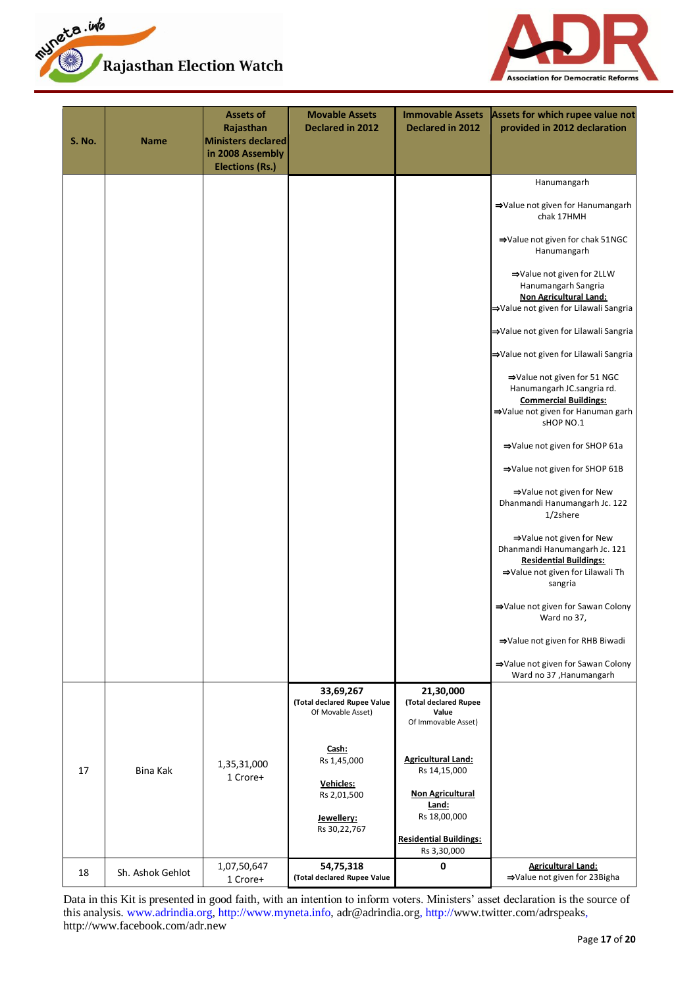



| <b>S. No.</b> | <b>Name</b>      | <b>Assets of</b><br>Rajasthan<br>Ministers declared<br>in 2008 Assembly<br><b>Elections (Rs.)</b> | <b>Movable Assets</b><br>Declared in 2012                     | <b>Immovable Assets</b><br>Declared in 2012                        | Assets for which rupee value not<br>provided in 2012 declaration                                                                            |
|---------------|------------------|---------------------------------------------------------------------------------------------------|---------------------------------------------------------------|--------------------------------------------------------------------|---------------------------------------------------------------------------------------------------------------------------------------------|
|               |                  |                                                                                                   |                                                               |                                                                    | Hanumangarh                                                                                                                                 |
|               |                  |                                                                                                   |                                                               |                                                                    | ⇒Value not given for Hanumangarh<br>chak 17HMH                                                                                              |
|               |                  |                                                                                                   |                                                               |                                                                    | ⇒Value not given for chak 51NGC<br>Hanumangarh                                                                                              |
|               |                  |                                                                                                   |                                                               |                                                                    | ⇒Value not given for 2LLW<br>Hanumangarh Sangria<br><b>Non Agricultural Land:</b><br>⇒Value not given for Lilawali Sangria                  |
|               |                  |                                                                                                   |                                                               |                                                                    | ⇒Value not given for Lilawali Sangria                                                                                                       |
|               |                  |                                                                                                   |                                                               |                                                                    | ⇒Value not given for Lilawali Sangria                                                                                                       |
|               |                  |                                                                                                   |                                                               |                                                                    | ⇒Value not given for 51 NGC<br>Hanumangarh JC.sangria rd.<br><b>Commercial Buildings:</b><br>⇒Value not given for Hanuman garh<br>sHOP NO.1 |
|               |                  |                                                                                                   |                                                               |                                                                    | ⇒Value not given for SHOP 61a                                                                                                               |
|               |                  |                                                                                                   |                                                               |                                                                    | ⇒Value not given for SHOP 61B                                                                                                               |
|               |                  |                                                                                                   |                                                               |                                                                    | ⇒Value not given for New<br>Dhanmandi Hanumangarh Jc. 122<br>1/2shere                                                                       |
|               |                  |                                                                                                   |                                                               |                                                                    | ⇒Value not given for New<br>Dhanmandi Hanumangarh Jc. 121<br><b>Residential Buildings:</b><br>⇒Value not given for Lilawali Th<br>sangria   |
|               |                  |                                                                                                   |                                                               |                                                                    | ⇒Value not given for Sawan Colony<br>Ward no 37,                                                                                            |
|               |                  |                                                                                                   |                                                               |                                                                    | ⇒Value not given for RHB Biwadi                                                                                                             |
|               |                  |                                                                                                   |                                                               |                                                                    | ⇒Value not given for Sawan Colony<br>Ward no 37, Hanumangarh                                                                                |
|               |                  |                                                                                                   | 33,69,267<br>(Total declared Rupee Value<br>Of Movable Asset) | 21,30,000<br>(Total declared Rupee<br>Value<br>Of Immovable Asset) |                                                                                                                                             |
| 17            | Bina Kak         | 1,35,31,000<br>1 Crore+                                                                           | Cash:<br>Rs 1,45,000                                          | <b>Agricultural Land:</b><br>Rs 14,15,000                          |                                                                                                                                             |
|               |                  |                                                                                                   | Vehicles:<br>Rs 2,01,500                                      | <b>Non Agricultural</b>                                            |                                                                                                                                             |
|               |                  |                                                                                                   | Jewellery:<br>Rs 30, 22, 767                                  | Land:<br>Rs 18,00,000                                              |                                                                                                                                             |
|               |                  |                                                                                                   |                                                               | <b>Residential Buildings:</b><br>Rs 3,30,000                       |                                                                                                                                             |
| 18            | Sh. Ashok Gehlot | 1,07,50,647<br>1 Crore+                                                                           | 54,75,318<br>(Total declared Rupee Value                      | 0                                                                  | <b>Agricultural Land:</b><br>⇒Value not given for 23Bigha                                                                                   |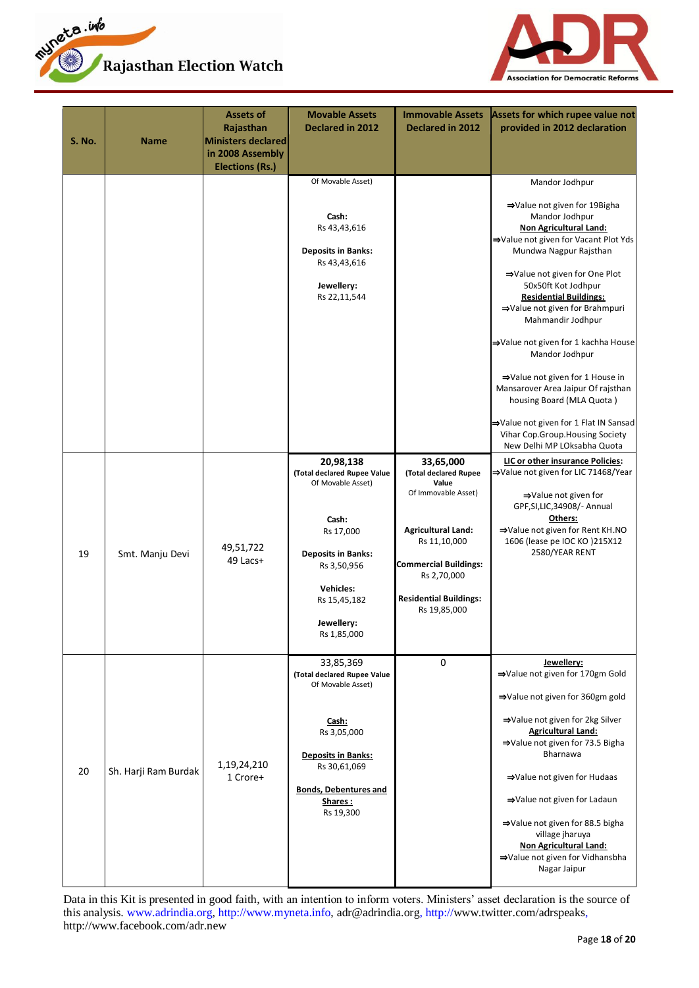



| <b>S. No.</b> | <b>Name</b>          | Assets of<br>Rajasthan<br>Ministers declared<br>in 2008 Assembly<br><b>Elections (Rs.)</b> | <b>Movable Assets</b><br><b>Declared in 2012</b>                                                                                                                                                 | <b>Immovable Assets</b><br><b>Declared in 2012</b>                                                                                                                                                              | Assets for which rupee value not<br>provided in 2012 declaration                                                                                                                                                                                                                                                                                                                                                                                                                                                                                               |
|---------------|----------------------|--------------------------------------------------------------------------------------------|--------------------------------------------------------------------------------------------------------------------------------------------------------------------------------------------------|-----------------------------------------------------------------------------------------------------------------------------------------------------------------------------------------------------------------|----------------------------------------------------------------------------------------------------------------------------------------------------------------------------------------------------------------------------------------------------------------------------------------------------------------------------------------------------------------------------------------------------------------------------------------------------------------------------------------------------------------------------------------------------------------|
|               |                      |                                                                                            | Of Movable Asset)<br>Cash:<br>Rs 43,43,616<br><b>Deposits in Banks:</b><br>Rs 43,43,616<br>Jewellery:<br>Rs 22,11,544                                                                            |                                                                                                                                                                                                                 | Mandor Jodhpur<br>⇒Value not given for 19Bigha<br>Mandor Jodhpur<br><b>Non Agricultural Land:</b><br>⇒Value not given for Vacant Plot Yds<br>Mundwa Nagpur Rajsthan<br>⇒Value not given for One Plot<br>50x50ft Kot Jodhpur<br><b>Residential Buildings:</b><br>⇒Value not given for Brahmpuri<br>Mahmandir Jodhpur<br>⇒Value not given for 1 kachha House<br>Mandor Jodhpur<br>⇒Value not given for 1 House in<br>Mansarover Area Jaipur Of rajsthan<br>housing Board (MLA Quota)<br>→Value not given for 1 Flat IN Sansad<br>Vihar Cop.Group.Housing Society |
| 19            | Smt. Manju Devi      | 49,51,722<br>49 Lacs+                                                                      | 20,98,138<br>(Total declared Rupee Value<br>Of Movable Asset)<br>Cash:<br>Rs 17,000<br><b>Deposits in Banks:</b><br>Rs 3,50,956<br><b>Vehicles:</b><br>Rs 15,45,182<br>Jewellery:<br>Rs 1,85,000 | 33,65,000<br>(Total declared Rupee<br>Value<br>Of Immovable Asset)<br><b>Agricultural Land:</b><br>Rs 11,10,000<br><b>Commercial Buildings:</b><br>Rs 2,70,000<br><b>Residential Buildings:</b><br>Rs 19,85,000 | New Delhi MP LOksabha Quota<br>LIC or other insurance Policies:<br>⇒Value not given for LIC 71468/Year<br>⇒Value not given for<br>GPF, SI, LIC, 34908/- Annual<br>Others:<br>⇒Value not given for Rent KH.NO<br>1606 (lease pe IOC KO) 215X12<br>2580/YEAR RENT                                                                                                                                                                                                                                                                                                |
| 20            | Sh. Harji Ram Burdak | 1,19,24,210<br>1 Crore+                                                                    | 33,85,369<br>(Total declared Rupee Value<br>Of Movable Asset)<br>Cash:<br>Rs 3,05,000<br><b>Deposits in Banks:</b><br>Rs 30,61,069<br><b>Bonds, Debentures and</b><br>Shares:<br>Rs 19,300       | $\mathbf 0$                                                                                                                                                                                                     | Jewellery:<br>⇒Value not given for 170gm Gold<br>⇒Value not given for 360gm gold<br>⇒Value not given for 2kg Silver<br><b>Agricultural Land:</b><br>⇒Value not given for 73.5 Bigha<br>Bharnawa<br>⇒Value not given for Hudaas<br>⇒Value not given for Ladaun<br>⇒Value not given for 88.5 bigha<br>village jharuya<br><b>Non Agricultural Land:</b><br>⇒Value not given for Vidhansbha<br>Nagar Jaipur                                                                                                                                                        |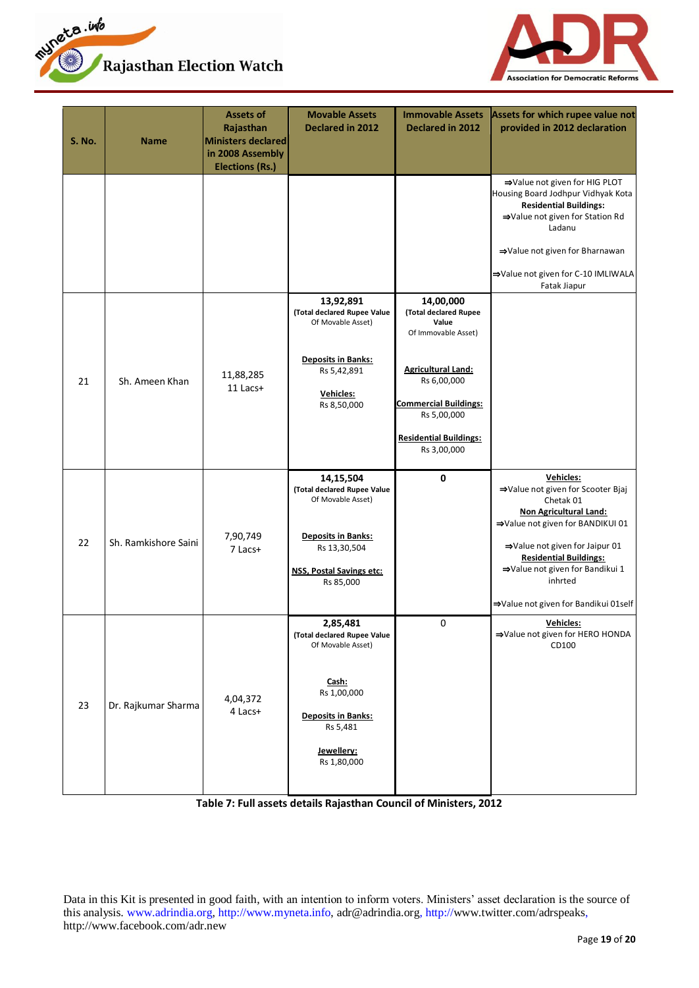



| <b>S. No.</b> | <b>Name</b>          | <b>Assets of</b><br>Rajasthan<br><b>Ministers declared</b><br>in 2008 Assembly<br><b>Elections (Rs.)</b> | <b>Movable Assets</b><br>Declared in 2012                                                                                                                  | <b>Immovable Assets</b><br><b>Declared in 2012</b>                                                                                                                                                            | Assets for which rupee value not<br>provided in 2012 declaration                                                                                                                                                                                                                          |
|---------------|----------------------|----------------------------------------------------------------------------------------------------------|------------------------------------------------------------------------------------------------------------------------------------------------------------|---------------------------------------------------------------------------------------------------------------------------------------------------------------------------------------------------------------|-------------------------------------------------------------------------------------------------------------------------------------------------------------------------------------------------------------------------------------------------------------------------------------------|
|               |                      |                                                                                                          |                                                                                                                                                            |                                                                                                                                                                                                               | ⇒Value not given for HIG PLOT<br>Housing Board Jodhpur Vidhyak Kota<br><b>Residential Buildings:</b><br>⇒Value not given for Station Rd<br>Ladanu<br>⇒Value not given for Bharnawan<br>⇒Value not given for C-10 IMLIWALA<br>Fatak Jiapur                                                 |
| 21            | Sh. Ameen Khan       | 11,88,285<br>11 Lacs+                                                                                    | 13,92,891<br>(Total declared Rupee Value<br>Of Movable Asset)<br><b>Deposits in Banks:</b><br>Rs 5,42,891<br>Vehicles:<br>Rs 8,50,000                      | 14,00,000<br>(Total declared Rupee<br>Value<br>Of Immovable Asset)<br><b>Agricultural Land:</b><br>Rs 6,00,000<br><b>Commercial Buildings:</b><br>Rs 5,00,000<br><b>Residential Buildings:</b><br>Rs 3,00,000 |                                                                                                                                                                                                                                                                                           |
| 22            | Sh. Ramkishore Saini | 7,90,749<br>7 Lacs+                                                                                      | 14,15,504<br>(Total declared Rupee Value<br>Of Movable Asset)<br><b>Deposits in Banks:</b><br>Rs 13,30,504<br><b>NSS, Postal Savings etc:</b><br>Rs 85,000 | 0                                                                                                                                                                                                             | Vehicles:<br>⇒Value not given for Scooter Bjaj<br>Chetak 01<br><b>Non Agricultural Land:</b><br>⇒Value not given for BANDIKUI 01<br>⇒Value not given for Jaipur 01<br><b>Residential Buildings:</b><br>⇒Value not given for Bandikui 1<br>inhrted<br>⇒Value not given for Bandikui 01self |
| 23            | Dr. Rajkumar Sharma  | 4,04,372<br>4 Lacs+                                                                                      | 2,85,481<br>(Total declared Rupee Value<br>Of Movable Asset)<br>Cash:<br>Rs 1,00,000<br><b>Deposits in Banks:</b><br>Rs 5,481<br>Jewellery:<br>Rs 1,80,000 | 0                                                                                                                                                                                                             | Vehicles:<br>⇒Value not given for HERO HONDA<br>CD100                                                                                                                                                                                                                                     |

**Table 7: Full assets details Rajasthan Council of Ministers, 2012**